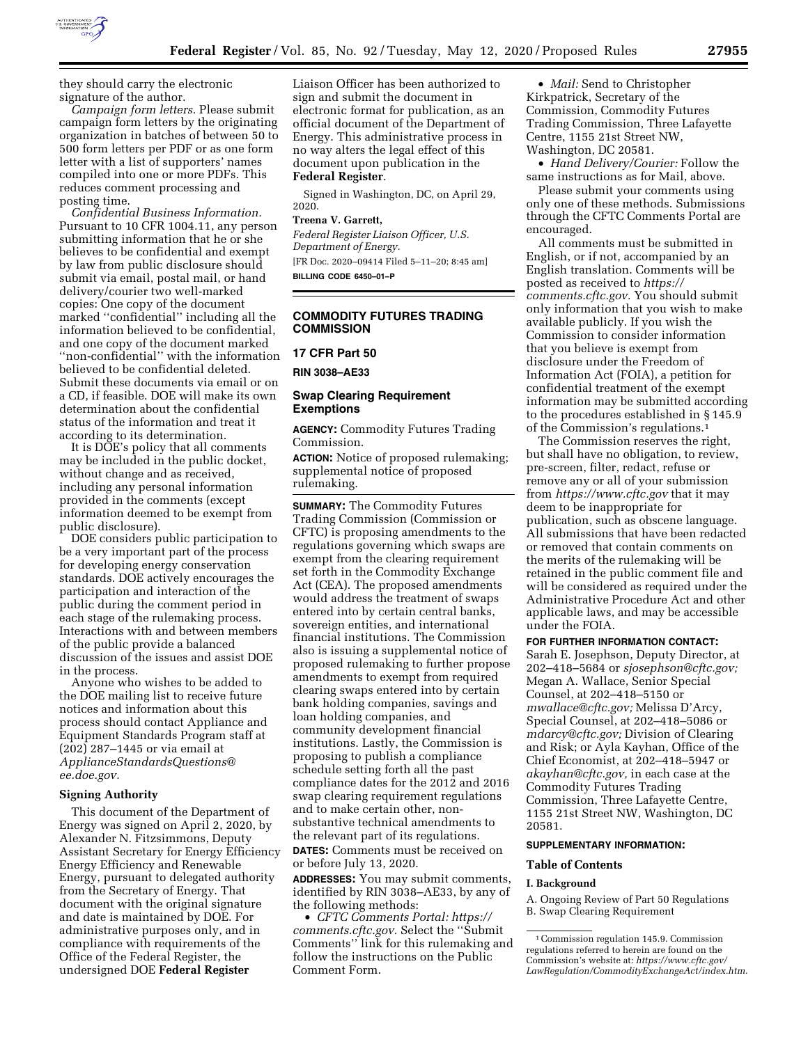

they should carry the electronic signature of the author.

*Campaign form letters.* Please submit campaign form letters by the originating organization in batches of between 50 to 500 form letters per PDF or as one form letter with a list of supporters' names compiled into one or more PDFs. This reduces comment processing and posting time.

*Confidential Business Information.*  Pursuant to 10 CFR 1004.11, any person submitting information that he or she believes to be confidential and exempt by law from public disclosure should submit via email, postal mail, or hand delivery/courier two well-marked copies: One copy of the document marked ''confidential'' including all the information believed to be confidential, and one copy of the document marked ''non-confidential'' with the information believed to be confidential deleted. Submit these documents via email or on a CD, if feasible. DOE will make its own determination about the confidential status of the information and treat it according to its determination.

It is DOE's policy that all comments may be included in the public docket, without change and as received, including any personal information provided in the comments (except information deemed to be exempt from public disclosure).

DOE considers public participation to be a very important part of the process for developing energy conservation standards. DOE actively encourages the participation and interaction of the public during the comment period in each stage of the rulemaking process. Interactions with and between members of the public provide a balanced discussion of the issues and assist DOE in the process.

Anyone who wishes to be added to the DOE mailing list to receive future notices and information about this process should contact Appliance and Equipment Standards Program staff at (202) 287–1445 or via email at *[ApplianceStandardsQuestions@](mailto:ApplianceStandardsQuestions@ee.doe.gov) [ee.doe.gov.](mailto:ApplianceStandardsQuestions@ee.doe.gov)* 

# **Signing Authority**

This document of the Department of Energy was signed on April 2, 2020, by Alexander N. Fitzsimmons, Deputy Assistant Secretary for Energy Efficiency Energy Efficiency and Renewable Energy, pursuant to delegated authority from the Secretary of Energy. That document with the original signature and date is maintained by DOE. For administrative purposes only, and in compliance with requirements of the Office of the Federal Register, the undersigned DOE **Federal Register** 

Liaison Officer has been authorized to sign and submit the document in electronic format for publication, as an official document of the Department of Energy. This administrative process in no way alters the legal effect of this document upon publication in the **Federal Register**.

Signed in Washington, DC, on April 29, 2020.

#### **Treena V. Garrett,**

*Federal Register Liaison Officer, U.S. Department of Energy.*  [FR Doc. 2020–09414 Filed 5–11–20; 8:45 am] **BILLING CODE 6450–01–P** 

#### **COMMODITY FUTURES TRADING COMMISSION**

#### **17 CFR Part 50**

**RIN 3038–AE33** 

#### **Swap Clearing Requirement Exemptions**

**AGENCY:** Commodity Futures Trading Commission.

**ACTION:** Notice of proposed rulemaking; supplemental notice of proposed rulemaking.

**SUMMARY:** The Commodity Futures Trading Commission (Commission or CFTC) is proposing amendments to the regulations governing which swaps are exempt from the clearing requirement set forth in the Commodity Exchange Act (CEA). The proposed amendments would address the treatment of swaps entered into by certain central banks, sovereign entities, and international financial institutions. The Commission also is issuing a supplemental notice of proposed rulemaking to further propose amendments to exempt from required clearing swaps entered into by certain bank holding companies, savings and loan holding companies, and community development financial institutions. Lastly, the Commission is proposing to publish a compliance schedule setting forth all the past compliance dates for the 2012 and 2016 swap clearing requirement regulations and to make certain other, nonsubstantive technical amendments to the relevant part of its regulations. **DATES:** Comments must be received on or before July 13, 2020.

**ADDRESSES:** You may submit comments, identified by RIN 3038–AE33, by any of the following methods:

• *CFTC Comments Portal: [https://](https://comments.cftc.gov) [comments.cftc.gov.](https://comments.cftc.gov)* Select the ''Submit Comments'' link for this rulemaking and follow the instructions on the Public Comment Form.

• *Mail:* Send to Christopher Kirkpatrick, Secretary of the Commission, Commodity Futures Trading Commission, Three Lafayette Centre, 1155 21st Street NW, Washington, DC 20581.

• *Hand Delivery/Courier:* Follow the same instructions as for Mail, above.

Please submit your comments using only one of these methods. Submissions through the CFTC Comments Portal are encouraged.

All comments must be submitted in English, or if not, accompanied by an English translation. Comments will be posted as received to *[https://](https://comments.cftc.gov) [comments.cftc.gov.](https://comments.cftc.gov)* You should submit only information that you wish to make available publicly. If you wish the Commission to consider information that you believe is exempt from disclosure under the Freedom of Information Act (FOIA), a petition for confidential treatment of the exempt information may be submitted according to the procedures established in § 145.9 of the Commission's regulations.1

The Commission reserves the right, but shall have no obligation, to review, pre-screen, filter, redact, refuse or remove any or all of your submission from *<https://www.cftc.gov>* that it may deem to be inappropriate for publication, such as obscene language. All submissions that have been redacted or removed that contain comments on the merits of the rulemaking will be retained in the public comment file and will be considered as required under the Administrative Procedure Act and other applicable laws, and may be accessible under the FOIA.

# **FOR FURTHER INFORMATION CONTACT:**

Sarah E. Josephson, Deputy Director, at 202–418–5684 or *[sjosephson@cftc.gov;](mailto:sjosephson@cftc.gov)*  Megan A. Wallace, Senior Special Counsel, at 202–418–5150 or *[mwallace@cftc.gov;](mailto:mwallace@cftc.gov)* Melissa D'Arcy, Special Counsel, at 202–418–5086 or *[mdarcy@cftc.gov;](mailto:mdarcy@cftc.gov)* Division of Clearing and Risk; or Ayla Kayhan, Office of the Chief Economist, at 202–418–5947 or *[akayhan@cftc.gov,](mailto:akayhan@cftc.gov)* in each case at the Commodity Futures Trading Commission, Three Lafayette Centre, 1155 21st Street NW, Washington, DC 20581.

#### **SUPPLEMENTARY INFORMATION:**

#### **Table of Contents**

# **I. Background**

A. Ongoing Review of Part 50 Regulations B. Swap Clearing Requirement

<sup>1</sup>Commission regulation 145.9. Commission regulations referred to herein are found on the Commission's website at: *[https://www.cftc.gov/](https://www.cftc.gov/LawRegulation/CommodityExchangeAct/index.htm) [LawRegulation/CommodityExchangeAct/index.htm.](https://www.cftc.gov/LawRegulation/CommodityExchangeAct/index.htm)*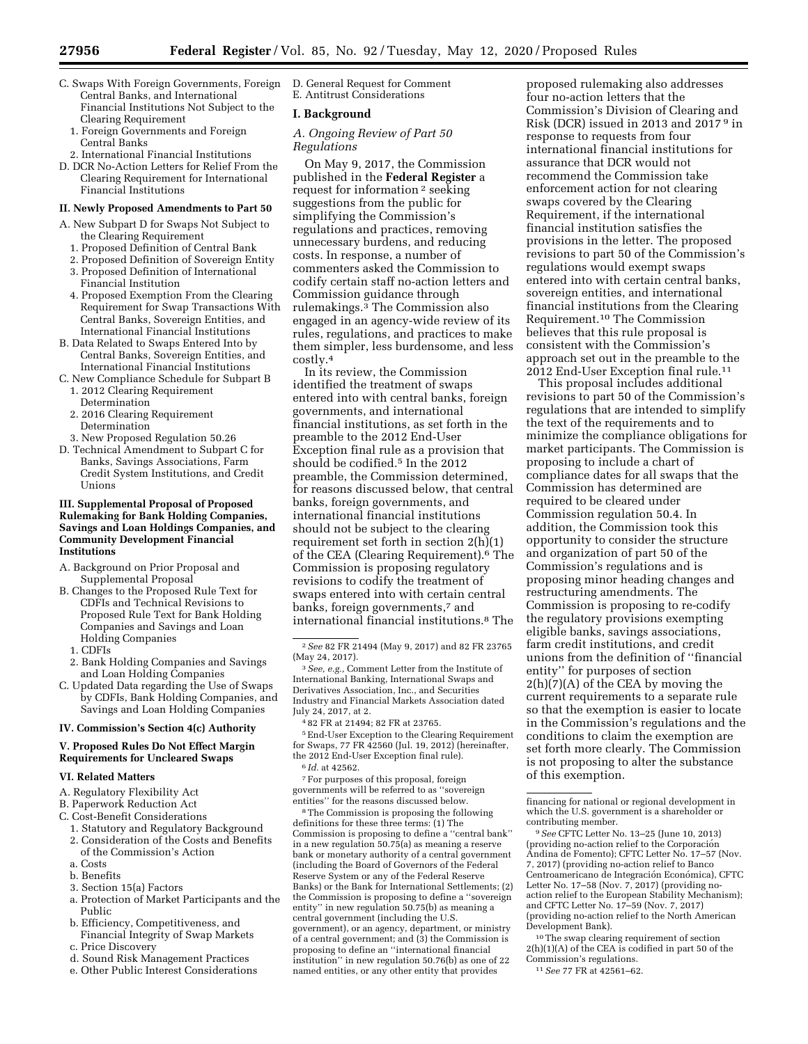- C. Swaps With Foreign Governments, Foreign Central Banks, and International Financial Institutions Not Subject to the Clearing Requirement
	- 1. Foreign Governments and Foreign Central Banks
- 2. International Financial Institutions
- D. DCR No-Action Letters for Relief From the Clearing Requirement for International Financial Institutions

#### **II. Newly Proposed Amendments to Part 50**

- A. New Subpart D for Swaps Not Subject to the Clearing Requirement
	- 1. Proposed Definition of Central Bank
	- 2. Proposed Definition of Sovereign Entity
	- 3. Proposed Definition of International
	- Financial Institution 4. Proposed Exemption From the Clearing Requirement for Swap Transactions With Central Banks, Sovereign Entities, and International Financial Institutions
- B. Data Related to Swaps Entered Into by Central Banks, Sovereign Entities, and International Financial Institutions
- C. New Compliance Schedule for Subpart B 1. 2012 Clearing Requirement
	- Determination 2. 2016 Clearing Requirement Determination
- 3. New Proposed Regulation 50.26
- D. Technical Amendment to Subpart C for Banks, Savings Associations, Farm Credit System Institutions, and Credit Unions

#### **III. Supplemental Proposal of Proposed Rulemaking for Bank Holding Companies, Savings and Loan Holdings Companies, and Community Development Financial Institutions**

- A. Background on Prior Proposal and Supplemental Proposal
- B. Changes to the Proposed Rule Text for CDFIs and Technical Revisions to Proposed Rule Text for Bank Holding Companies and Savings and Loan Holding Companies
	- 1. CDFIs
- 2. Bank Holding Companies and Savings and Loan Holding Companies
- C. Updated Data regarding the Use of Swaps by CDFIs, Bank Holding Companies, and Savings and Loan Holding Companies

# **IV. Commission's Section 4(c) Authority**

#### **V. Proposed Rules Do Not Effect Margin Requirements for Uncleared Swaps**

### **VI. Related Matters**

- A. Regulatory Flexibility Act
- B. Paperwork Reduction Act
- C. Cost-Benefit Considerations
- 1. Statutory and Regulatory Background
- 2. Consideration of the Costs and Benefits of the Commission's Action
- a. Costs
- b. Benefits
- 3. Section 15(a) Factors
- a. Protection of Market Participants and the Public
- b. Efficiency, Competitiveness, and Financial Integrity of Swap Markets
- c. Price Discovery
- d. Sound Risk Management Practices
- e. Other Public Interest Considerations

D. General Request for Comment E. Antitrust Considerations

# **I. Background**

# *A. Ongoing Review of Part 50 Regulations*

On May 9, 2017, the Commission published in the **Federal Register** a request for information 2 seeking suggestions from the public for simplifying the Commission's regulations and practices, removing unnecessary burdens, and reducing costs. In response, a number of commenters asked the Commission to codify certain staff no-action letters and Commission guidance through rulemakings.3 The Commission also engaged in an agency-wide review of its rules, regulations, and practices to make them simpler, less burdensome, and less costly.4

In its review, the Commission identified the treatment of swaps entered into with central banks, foreign governments, and international financial institutions, as set forth in the preamble to the 2012 End-User Exception final rule as a provision that should be codified.5 In the 2012 preamble, the Commission determined, for reasons discussed below, that central banks, foreign governments, and international financial institutions should not be subject to the clearing requirement set forth in section 2(h)(1) of the CEA (Clearing Requirement).6 The Commission is proposing regulatory revisions to codify the treatment of swaps entered into with certain central banks, foreign governments,<sup>7</sup> and international financial institutions.8 The

4 82 FR at 21494; 82 FR at 23765.

5End-User Exception to the Clearing Requirement for Swaps, 77 FR 42560 (Jul. 19, 2012) (hereinafter, the 2012 End-User Exception final rule). 6 *Id.* at 42562.

7For purposes of this proposal, foreign

governments will be referred to as ''sovereign entities'' for the reasons discussed below.

8The Commission is proposing the following definitions for these three terms: (1) The Commission is proposing to define a ''central bank'' in a new regulation 50.75(a) as meaning a reserve bank or monetary authority of a central government (including the Board of Governors of the Federal Reserve System or any of the Federal Reserve Banks) or the Bank for International Settlements; (2) the Commission is proposing to define a ''sovereign entity'' in new regulation 50.75(b) as meaning a central government (including the U.S. government), or an agency, department, or ministry of a central government; and (3) the Commission is proposing to define an ''international financial institution'' in new regulation 50.76(b) as one of 22 named entities, or any other entity that provides

proposed rulemaking also addresses four no-action letters that the Commission's Division of Clearing and Risk (DCR) issued in 2013 and 2017 9 in response to requests from four international financial institutions for assurance that DCR would not recommend the Commission take enforcement action for not clearing swaps covered by the Clearing Requirement, if the international financial institution satisfies the provisions in the letter. The proposed revisions to part 50 of the Commission's regulations would exempt swaps entered into with certain central banks, sovereign entities, and international financial institutions from the Clearing Requirement.10 The Commission believes that this rule proposal is consistent with the Commission's approach set out in the preamble to the 2012 End-User Exception final rule.11

This proposal includes additional revisions to part 50 of the Commission's regulations that are intended to simplify the text of the requirements and to minimize the compliance obligations for market participants. The Commission is proposing to include a chart of compliance dates for all swaps that the Commission has determined are required to be cleared under Commission regulation 50.4. In addition, the Commission took this opportunity to consider the structure and organization of part 50 of the Commission's regulations and is proposing minor heading changes and restructuring amendments. The Commission is proposing to re-codify the regulatory provisions exempting eligible banks, savings associations, farm credit institutions, and credit unions from the definition of ''financial entity'' for purposes of section 2(h)(7)(A) of the CEA by moving the current requirements to a separate rule so that the exemption is easier to locate in the Commission's regulations and the conditions to claim the exemption are set forth more clearly. The Commission is not proposing to alter the substance of this exemption.

10The swap clearing requirement of section 2(h)(1)(A) of the CEA is codified in part 50 of the Commission's regulations. 11*See* 77 FR at 42561–62.

<sup>2</sup>*See* 82 FR 21494 (May 9, 2017) and 82 FR 23765 (May 24, 2017).

<sup>3</sup>*See, e.g.,* Comment Letter from the Institute of International Banking, International Swaps and Derivatives Association, Inc., and Securities Industry and Financial Markets Association dated July 24, 2017, at 2.

financing for national or regional development in which the U.S. government is a shareholder or contributing member. 9*See* CFTC Letter No. 13–25 (June 10, 2013)

<sup>(</sup>providing no-action relief to the Corporación Andina de Fomento); CFTC Letter No. 17–57 (Nov. 7, 2017) (providing no-action relief to Banco<br>Centroamericano de Integración Económica), CFTC Letter No. 17–58 (Nov. 7, 2017) (providing noaction relief to the European Stability Mechanism); and CFTC Letter No. 17–59 (Nov. 7, 2017) (providing no-action relief to the North American Development Bank).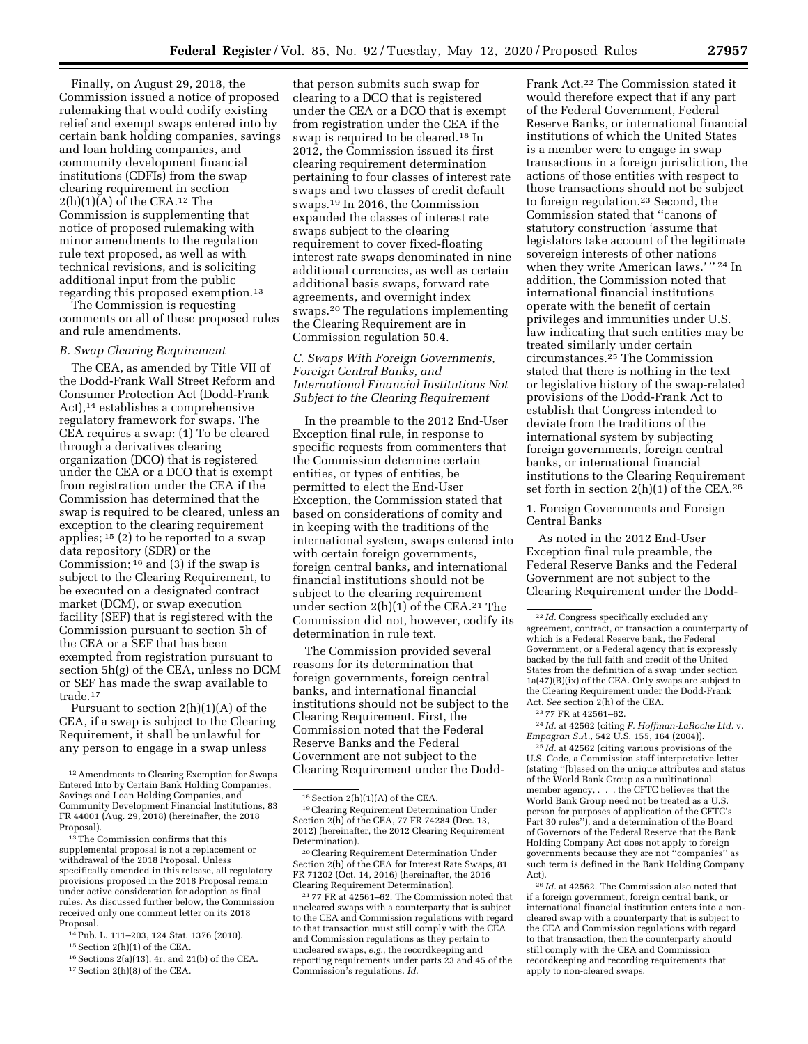Finally, on August 29, 2018, the Commission issued a notice of proposed rulemaking that would codify existing relief and exempt swaps entered into by certain bank holding companies, savings and loan holding companies, and community development financial institutions (CDFIs) from the swap clearing requirement in section  $2(h)(1)(A)$  of the CEA.<sup>12</sup> The Commission is supplementing that notice of proposed rulemaking with minor amendments to the regulation rule text proposed, as well as with technical revisions, and is soliciting additional input from the public regarding this proposed exemption.13

The Commission is requesting comments on all of these proposed rules and rule amendments.

## *B. Swap Clearing Requirement*

The CEA, as amended by Title VII of the Dodd-Frank Wall Street Reform and Consumer Protection Act (Dodd-Frank Act),14 establishes a comprehensive regulatory framework for swaps. The CEA requires a swap: (1) To be cleared through a derivatives clearing organization (DCO) that is registered under the CEA or a DCO that is exempt from registration under the CEA if the Commission has determined that the swap is required to be cleared, unless an exception to the clearing requirement applies; 15 (2) to be reported to a swap data repository (SDR) or the Commission; 16 and (3) if the swap is subject to the Clearing Requirement, to be executed on a designated contract market (DCM), or swap execution facility (SEF) that is registered with the Commission pursuant to section 5h of the CEA or a SEF that has been exempted from registration pursuant to section 5h(g) of the CEA, unless no DCM or SEF has made the swap available to trade.17

Pursuant to section  $2(h)(1)(A)$  of the CEA, if a swap is subject to the Clearing Requirement, it shall be unlawful for any person to engage in a swap unless

14Pub. L. 111–203, 124 Stat. 1376 (2010).

15Section 2(h)(1) of the CEA.

16Sections 2(a)(13), 4r, and 21(b) of the CEA. 17Section 2(h)(8) of the CEA.

that person submits such swap for clearing to a DCO that is registered under the CEA or a DCO that is exempt from registration under the CEA if the swap is required to be cleared.18 In 2012, the Commission issued its first clearing requirement determination pertaining to four classes of interest rate swaps and two classes of credit default swaps.19 In 2016, the Commission expanded the classes of interest rate swaps subject to the clearing requirement to cover fixed-floating interest rate swaps denominated in nine additional currencies, as well as certain additional basis swaps, forward rate agreements, and overnight index swaps.20 The regulations implementing the Clearing Requirement are in Commission regulation 50.4.

# *C. Swaps With Foreign Governments, Foreign Central Banks, and International Financial Institutions Not Subject to the Clearing Requirement*

In the preamble to the 2012 End-User Exception final rule, in response to specific requests from commenters that the Commission determine certain entities, or types of entities, be permitted to elect the End-User Exception, the Commission stated that based on considerations of comity and in keeping with the traditions of the international system, swaps entered into with certain foreign governments, foreign central banks, and international financial institutions should not be subject to the clearing requirement under section  $2(h)(1)$  of the CEA.<sup>21</sup> The Commission did not, however, codify its determination in rule text.

The Commission provided several reasons for its determination that foreign governments, foreign central banks, and international financial institutions should not be subject to the Clearing Requirement. First, the Commission noted that the Federal Reserve Banks and the Federal Government are not subject to the Clearing Requirement under the Dodd-

Frank Act.22 The Commission stated it would therefore expect that if any part of the Federal Government, Federal Reserve Banks, or international financial institutions of which the United States is a member were to engage in swap transactions in a foreign jurisdiction, the actions of those entities with respect to those transactions should not be subject to foreign regulation.23 Second, the Commission stated that ''canons of statutory construction 'assume that legislators take account of the legitimate sovereign interests of other nations when they write American laws.' '' <sup>24</sup> In addition, the Commission noted that international financial institutions operate with the benefit of certain privileges and immunities under U.S. law indicating that such entities may be treated similarly under certain circumstances.25 The Commission stated that there is nothing in the text or legislative history of the swap-related provisions of the Dodd-Frank Act to establish that Congress intended to deviate from the traditions of the international system by subjecting foreign governments, foreign central banks, or international financial institutions to the Clearing Requirement set forth in section 2(h)(1) of the CEA.26

1. Foreign Governments and Foreign Central Banks

As noted in the 2012 End-User Exception final rule preamble, the Federal Reserve Banks and the Federal Government are not subject to the Clearing Requirement under the Dodd-

23 77 FR at 42561–62.

24 *Id.* at 42562 (citing *F. Hoffman-LaRoche Ltd.* v. *Empagran S.A.,* 542 U.S. 155, 164 (2004)).

25 *Id.* at 42562 (citing various provisions of the U.S. Code, a Commission staff interpretative letter (stating ''[b]ased on the unique attributes and status of the World Bank Group as a multinational member agency, . . . the CFTC believes that the World Bank Group need not be treated as a U.S. person for purposes of application of the CFTC's Part 30 rules''), and a determination of the Board of Governors of the Federal Reserve that the Bank Holding Company Act does not apply to foreign governments because they are not ''companies'' as such term is defined in the Bank Holding Company Act).

26 *Id.* at 42562. The Commission also noted that if a foreign government, foreign central bank, or international financial institution enters into a noncleared swap with a counterparty that is subject to the CEA and Commission regulations with regard to that transaction, then the counterparty should still comply with the CEA and Commission recordkeeping and recording requirements that apply to non-cleared swaps.

<sup>12</sup>Amendments to Clearing Exemption for Swaps Entered Into by Certain Bank Holding Companies, Savings and Loan Holding Companies, and Community Development Financial Institutions, 83 FR 44001 (Aug. 29, 2018) (hereinafter, the 2018 Proposal).

<sup>&</sup>lt;sup>13</sup>The Commission confirms that this supplemental proposal is not a replacement or withdrawal of the 2018 Proposal. Unless specifically amended in this release, all regulatory provisions proposed in the 2018 Proposal remain under active consideration for adoption as final rules. As discussed further below, the Commission received only one comment letter on its 2018 Proposal.

 $^{18}\operatorname{Section}$  2(h)(1)(A) of the CEA.

<sup>19</sup>Clearing Requirement Determination Under Section 2(h) of the CEA, 77 FR 74284 (Dec. 13, 2012) (hereinafter, the 2012 Clearing Requirement Determination).

<sup>20</sup>Clearing Requirement Determination Under Section 2(h) of the CEA for Interest Rate Swaps, 81 FR 71202 (Oct. 14, 2016) (hereinafter, the 2016 Clearing Requirement Determination).

<sup>21</sup> 77 FR at 42561–62. The Commission noted that uncleared swaps with a counterparty that is subject to the CEA and Commission regulations with regard to that transaction must still comply with the CEA and Commission regulations as they pertain to uncleared swaps, *e.g.,* the recordkeeping and reporting requirements under parts 23 and 45 of the Commission's regulations. *Id.* 

<sup>22</sup> *Id.* Congress specifically excluded any agreement, contract, or transaction a counterparty of which is a Federal Reserve bank, the Federal Government, or a Federal agency that is expressly backed by the full faith and credit of the United States from the definition of a swap under section 1a(47)(B)(ix) of the CEA. Only swaps are subject to the Clearing Requirement under the Dodd-Frank Act. *See* section 2(h) of the CEA.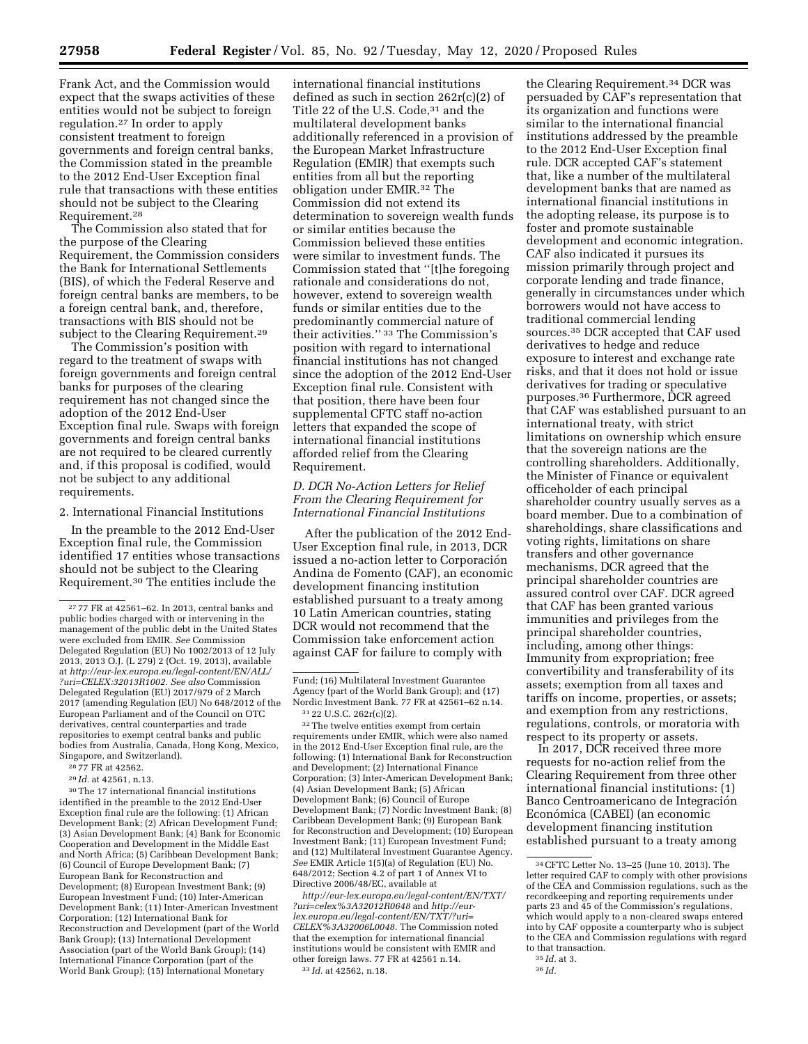Frank Act, and the Commission would expect that the swaps activities of these entities would not be subject to foreign regulation.27 In order to apply consistent treatment to foreign governments and foreign central banks, the Commission stated in the preamble to the 2012 End-User Exception final rule that transactions with these entities should not be subject to the Clearing Requirement.28

The Commission also stated that for the purpose of the Clearing Requirement, the Commission considers the Bank for International Settlements (BIS), of which the Federal Reserve and foreign central banks are members, to be a foreign central bank, and, therefore, transactions with BIS should not be subject to the Clearing Requirement.<sup>29</sup>

The Commission's position with regard to the treatment of swaps with foreign governments and foreign central banks for purposes of the clearing requirement has not changed since the adoption of the 2012 End-User Exception final rule. Swaps with foreign governments and foreign central banks are not required to be cleared currently and, if this proposal is codified, would not be subject to any additional requirements.

2. International Financial Institutions

In the preamble to the 2012 End-User Exception final rule, the Commission identified 17 entities whose transactions should not be subject to the Clearing Requirement.30 The entities include the

29 *Id.* at 42561, n.13.

30The 17 international financial institutions identified in the preamble to the 2012 End-User Exception final rule are the following: (1) African Development Bank; (2) African Development Fund; (3) Asian Development Bank; (4) Bank for Economic Cooperation and Development in the Middle East and North Africa; (5) Caribbean Development Bank; (6) Council of Europe Development Bank; (7) European Bank for Reconstruction and Development; (8) European Investment Bank; (9) European Investment Fund; (10) Inter-American Development Bank; (11) Inter-American Investment Corporation; (12) International Bank for Reconstruction and Development (part of the World Bank Group); (13) International Development Association (part of the World Bank Group); (14) International Finance Corporation (part of the World Bank Group); (15) International Monetary

international financial institutions defined as such in section 262r(c)(2) of Title 22 of the U.S. Code,<sup>31</sup> and the multilateral development banks additionally referenced in a provision of the European Market Infrastructure Regulation (EMIR) that exempts such entities from all but the reporting obligation under EMIR.32 The Commission did not extend its determination to sovereign wealth funds or similar entities because the Commission believed these entities were similar to investment funds. The Commission stated that ''[t]he foregoing rationale and considerations do not, however, extend to sovereign wealth funds or similar entities due to the predominantly commercial nature of their activities.'' 33 The Commission's position with regard to international financial institutions has not changed since the adoption of the 2012 End-User Exception final rule. Consistent with that position, there have been four supplemental CFTC staff no-action letters that expanded the scope of international financial institutions afforded relief from the Clearing Requirement.

# *D. DCR No-Action Letters for Relief From the Clearing Requirement for International Financial Institutions*

After the publication of the 2012 End-User Exception final rule, in 2013, DCR issued a no-action letter to Corporación Andina de Fomento (CAF), an economic development financing institution established pursuant to a treaty among 10 Latin American countries, stating DCR would not recommend that the Commission take enforcement action against CAF for failure to comply with

*[http://eur-lex.europa.eu/legal-content/EN/TXT/](http://eur-lex.europa.eu/legal-content/EN/TXT/?uri=celex%3A32012R0648) [?uri=celex%3A32012R0648](http://eur-lex.europa.eu/legal-content/EN/TXT/?uri=celex%3A32012R0648)* and *[http://eur](http://eur-lex.europa.eu/legal-content/EN/TXT/?uri=CELEX%3A32006L0048)[lex.europa.eu/legal-content/EN/TXT/?uri=](http://eur-lex.europa.eu/legal-content/EN/TXT/?uri=CELEX%3A32006L0048) [CELEX%3A32006L0048.](http://eur-lex.europa.eu/legal-content/EN/TXT/?uri=CELEX%3A32006L0048)* The Commission noted that the exemption for international financial institutions would be consistent with EMIR and other foreign laws. 77 FR at 42561 n.14. 33 *Id.* at 42562, n.18.

the Clearing Requirement.34 DCR was persuaded by CAF's representation that its organization and functions were similar to the international financial institutions addressed by the preamble to the 2012 End-User Exception final rule. DCR accepted CAF's statement that, like a number of the multilateral development banks that are named as international financial institutions in the adopting release, its purpose is to foster and promote sustainable development and economic integration. CAF also indicated it pursues its mission primarily through project and corporate lending and trade finance, generally in circumstances under which borrowers would not have access to traditional commercial lending sources.35 DCR accepted that CAF used derivatives to hedge and reduce exposure to interest and exchange rate risks, and that it does not hold or issue derivatives for trading or speculative purposes.36 Furthermore, DCR agreed that CAF was established pursuant to an international treaty, with strict limitations on ownership which ensure that the sovereign nations are the controlling shareholders. Additionally, the Minister of Finance or equivalent officeholder of each principal shareholder country usually serves as a board member. Due to a combination of shareholdings, share classifications and voting rights, limitations on share transfers and other governance mechanisms, DCR agreed that the principal shareholder countries are assured control over CAF. DCR agreed that CAF has been granted various immunities and privileges from the principal shareholder countries, including, among other things: Immunity from expropriation; free convertibility and transferability of its assets; exemption from all taxes and tariffs on income, properties, or assets; and exemption from any restrictions, regulations, controls, or moratoria with respect to its property or assets.

In 2017, DCR received three more requests for no-action relief from the Clearing Requirement from three other international financial institutions: (1) Banco Centroamericano de Integración Económica (CABEI) (an economic development financing institution established pursuant to a treaty among

<sup>27</sup> 77 FR at 42561–62. In 2013, central banks and public bodies charged with or intervening in the management of the public debt in the United States were excluded from EMIR. *See* Commission Delegated Regulation (EU) No 1002/2013 of 12 July 2013, 2013 O.J. (L 279) 2 (Oct. 19, 2013), available at *[http://eur-lex.europa.eu/legal-content/EN/ALL/](http://eur-lex.europa.eu/legal-content/EN/ALL/?uri=CELEX:32013R1002)  [?uri=CELEX:32013R1002.](http://eur-lex.europa.eu/legal-content/EN/ALL/?uri=CELEX:32013R1002) See also* Commission Delegated Regulation (EU) 2017/979 of 2 March 2017 (amending Regulation (EU) No 648/2012 of the European Parliament and of the Council on OTC derivatives, central counterparties and trade repositories to exempt central banks and public bodies from Australia, Canada, Hong Kong, Mexico, Singapore, and Switzerland).

<sup>28</sup> 77 FR at 42562.

Fund; (16) Multilateral Investment Guarantee Agency (part of the World Bank Group); and (17) Nordic Investment Bank. 77 FR at 42561–62 n.14. 31 22 U.S.C. 262r(c)(2).

<sup>32</sup>The twelve entities exempt from certain requirements under EMIR, which were also named in the 2012 End-User Exception final rule, are the following: (1) International Bank for Reconstruction and Development; (2) International Finance Corporation; (3) Inter-American Development Bank; (4) Asian Development Bank; (5) African Development Bank; (6) Council of Europe Development Bank; (7) Nordic Investment Bank; (8) Caribbean Development Bank; (9) European Bank for Reconstruction and Development; (10) European Investment Bank; (11) European Investment Fund; and (12) Multilateral Investment Guarantee Agency. *See* EMIR Article 1(5)(a) of Regulation (EU) No. 648/2012; Section 4.2 of part 1 of Annex VI to Directive 2006/48/EC, available at

<sup>34</sup>CFTC Letter No. 13–25 (June 10, 2013). The letter required CAF to comply with other provisions of the CEA and Commission regulations, such as the recordkeeping and reporting requirements under parts 23 and 45 of the Commission's regulations, which would apply to a non-cleared swaps entered into by CAF opposite a counterparty who is subject to the CEA and Commission regulations with regard to that transaction.

<sup>35</sup> *Id.* at 3. 36 *Id.*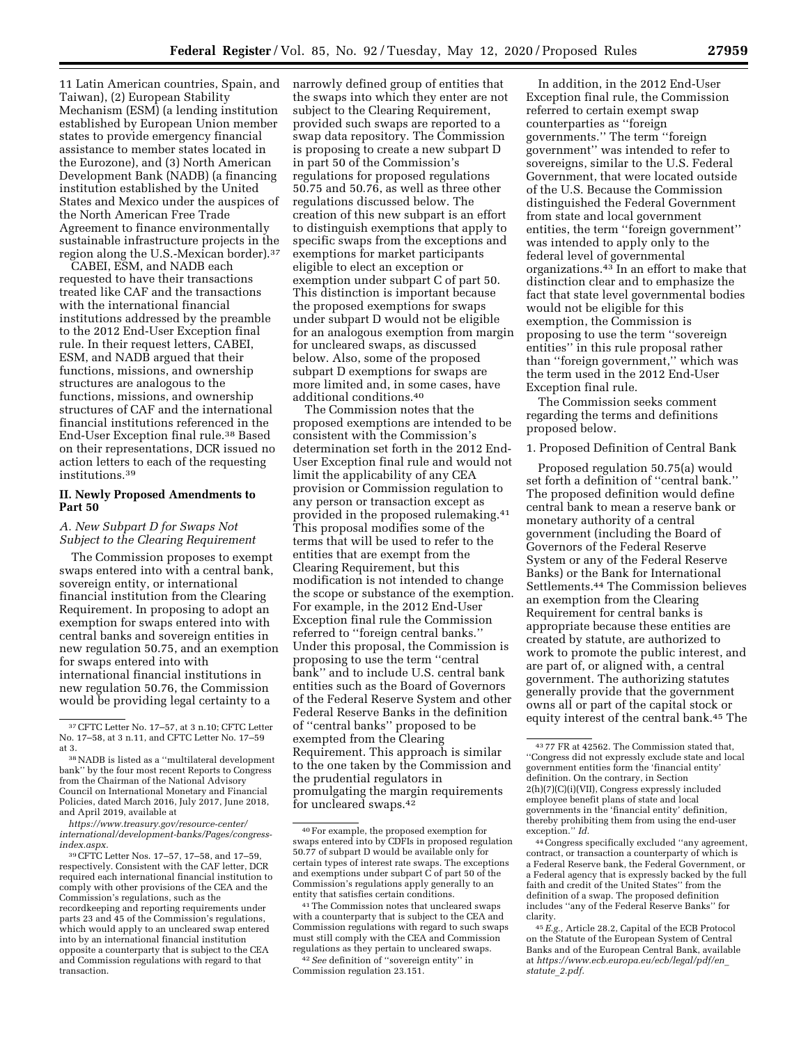11 Latin American countries, Spain, and Taiwan), (2) European Stability Mechanism (ESM) (a lending institution established by European Union member states to provide emergency financial assistance to member states located in the Eurozone), and (3) North American Development Bank (NADB) (a financing institution established by the United States and Mexico under the auspices of the North American Free Trade Agreement to finance environmentally sustainable infrastructure projects in the region along the U.S.-Mexican border).37

CABEI, ESM, and NADB each requested to have their transactions treated like CAF and the transactions with the international financial institutions addressed by the preamble to the 2012 End-User Exception final rule. In their request letters, CABEI, ESM, and NADB argued that their functions, missions, and ownership structures are analogous to the functions, missions, and ownership structures of CAF and the international financial institutions referenced in the End-User Exception final rule.38 Based on their representations, DCR issued no action letters to each of the requesting institutions.39

### **II. Newly Proposed Amendments to Part 50**

# *A. New Subpart D for Swaps Not Subject to the Clearing Requirement*

The Commission proposes to exempt swaps entered into with a central bank, sovereign entity, or international financial institution from the Clearing Requirement. In proposing to adopt an exemption for swaps entered into with central banks and sovereign entities in new regulation 50.75, and an exemption for swaps entered into with international financial institutions in new regulation 50.76, the Commission would be providing legal certainty to a

*[https://www.treasury.gov/resource-center/](https://www.treasury.gov/resource-center/international/development-banks/Pages/congress-index.aspx)  [international/development-banks/Pages/congress](https://www.treasury.gov/resource-center/international/development-banks/Pages/congress-index.aspx)[index.aspx.](https://www.treasury.gov/resource-center/international/development-banks/Pages/congress-index.aspx)* 

narrowly defined group of entities that the swaps into which they enter are not subject to the Clearing Requirement, provided such swaps are reported to a swap data repository. The Commission is proposing to create a new subpart D in part 50 of the Commission's regulations for proposed regulations 50.75 and 50.76, as well as three other regulations discussed below. The creation of this new subpart is an effort to distinguish exemptions that apply to specific swaps from the exceptions and exemptions for market participants eligible to elect an exception or exemption under subpart C of part 50. This distinction is important because the proposed exemptions for swaps under subpart D would not be eligible for an analogous exemption from margin for uncleared swaps, as discussed below. Also, some of the proposed subpart D exemptions for swaps are more limited and, in some cases, have additional conditions.40

The Commission notes that the proposed exemptions are intended to be consistent with the Commission's determination set forth in the 2012 End-User Exception final rule and would not limit the applicability of any CEA provision or Commission regulation to any person or transaction except as provided in the proposed rulemaking.41 This proposal modifies some of the terms that will be used to refer to the entities that are exempt from the Clearing Requirement, but this modification is not intended to change the scope or substance of the exemption. For example, in the 2012 End-User Exception final rule the Commission referred to ''foreign central banks.'' Under this proposal, the Commission is proposing to use the term ''central bank'' and to include U.S. central bank entities such as the Board of Governors of the Federal Reserve System and other Federal Reserve Banks in the definition of ''central banks'' proposed to be exempted from the Clearing Requirement. This approach is similar to the one taken by the Commission and the prudential regulators in promulgating the margin requirements for uncleared swaps.42

Commission regulation 23.151.

In addition, in the 2012 End-User Exception final rule, the Commission referred to certain exempt swap counterparties as ''foreign governments.'' The term ''foreign government'' was intended to refer to sovereigns, similar to the U.S. Federal Government, that were located outside of the U.S. Because the Commission distinguished the Federal Government from state and local government entities, the term ''foreign government'' was intended to apply only to the federal level of governmental organizations.43 In an effort to make that distinction clear and to emphasize the fact that state level governmental bodies would not be eligible for this exemption, the Commission is proposing to use the term ''sovereign entities'' in this rule proposal rather than ''foreign government,'' which was the term used in the 2012 End-User Exception final rule.

The Commission seeks comment regarding the terms and definitions proposed below.

# 1. Proposed Definition of Central Bank

Proposed regulation 50.75(a) would set forth a definition of ''central bank.'' The proposed definition would define central bank to mean a reserve bank or monetary authority of a central government (including the Board of Governors of the Federal Reserve System or any of the Federal Reserve Banks) or the Bank for International Settlements.44 The Commission believes an exemption from the Clearing Requirement for central banks is appropriate because these entities are created by statute, are authorized to work to promote the public interest, and are part of, or aligned with, a central government. The authorizing statutes generally provide that the government owns all or part of the capital stock or equity interest of the central bank.45 The

44Congress specifically excluded ''any agreement, contract, or transaction a counterparty of which is a Federal Reserve bank, the Federal Government, or a Federal agency that is expressly backed by the full faith and credit of the United States'' from the definition of a swap. The proposed definition includes ''any of the Federal Reserve Banks'' for clarity.

<sup>37</sup>CFTC Letter No. 17–57, at 3 n.10; CFTC Letter No. 17–58, at 3 n.11, and CFTC Letter No. 17–59 at 3.

<sup>38</sup>NADB is listed as a ''multilateral development bank'' by the four most recent Reports to Congress from the Chairman of the National Advisory Council on International Monetary and Financial Policies, dated March 2016, July 2017, June 2018, and April 2019, available at

<sup>39</sup>CFTC Letter Nos. 17–57, 17–58, and 17–59, respectively. Consistent with the CAF letter, DCR required each international financial institution to comply with other provisions of the CEA and the Commission's regulations, such as the recordkeeping and reporting requirements under parts 23 and 45 of the Commission's regulations, which would apply to an uncleared swap entered into by an international financial institution opposite a counterparty that is subject to the CEA and Commission regulations with regard to that transaction.

<sup>40</sup>For example, the proposed exemption for swaps entered into by CDFIs in proposed regulation 50.77 of subpart D would be available only for certain types of interest rate swaps. The exceptions and exemptions under subpart C of part 50 of the Commission's regulations apply generally to an entity that satisfies certain conditions.

<sup>41</sup>The Commission notes that uncleared swaps with a counterparty that is subject to the CEA and Commission regulations with regard to such swaps must still comply with the CEA and Commission regulations as they pertain to uncleared swaps. 42*See* definition of ''sovereign entity'' in

<sup>43</sup> 77 FR at 42562. The Commission stated that, ''Congress did not expressly exclude state and local government entities form the 'financial entity' definition. On the contrary, in Section 2(h)(7)(C)(i)(VII), Congress expressly included employee benefit plans of state and local governments in the 'financial entity' definition, thereby prohibiting them from using the end-user exception.'' *Id.* 

<sup>45</sup>*E.g.,* Article 28.2, Capital of the ECB Protocol on the Statute of the European System of Central Banks and of the European Central Bank, available at *[https://www.ecb.europa.eu/ecb/legal/pdf/en](https://www.ecb.europa.eu/ecb/legal/pdf/en_statute_2.pdf)*\_ *[statute](https://www.ecb.europa.eu/ecb/legal/pdf/en_statute_2.pdf)*\_*2.pdf.*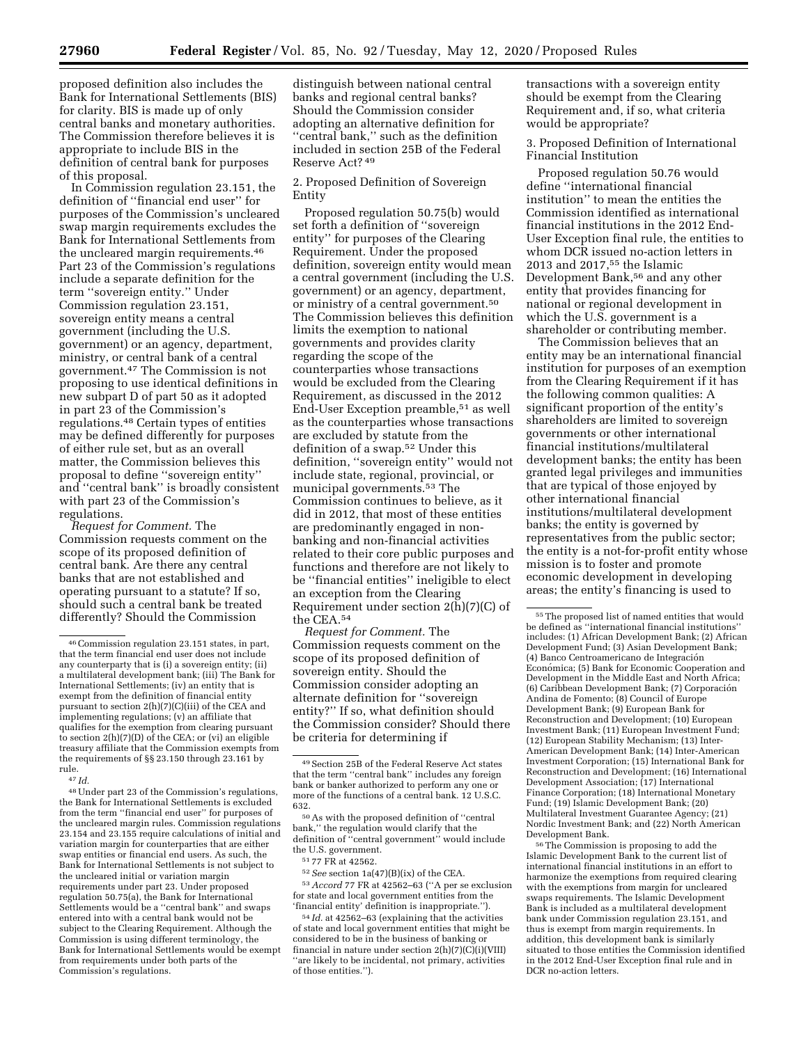proposed definition also includes the Bank for International Settlements (BIS) for clarity. BIS is made up of only central banks and monetary authorities. The Commission therefore believes it is appropriate to include BIS in the definition of central bank for purposes of this proposal.

In Commission regulation 23.151, the definition of ''financial end user'' for purposes of the Commission's uncleared swap margin requirements excludes the Bank for International Settlements from the uncleared margin requirements.46 Part 23 of the Commission's regulations include a separate definition for the term ''sovereign entity.'' Under Commission regulation 23.151, sovereign entity means a central government (including the U.S. government) or an agency, department, ministry, or central bank of a central government.47 The Commission is not proposing to use identical definitions in new subpart D of part 50 as it adopted in part 23 of the Commission's regulations.48 Certain types of entities may be defined differently for purposes of either rule set, but as an overall matter, the Commission believes this proposal to define ''sovereign entity'' and ''central bank'' is broadly consistent with part 23 of the Commission's regulations.

*Request for Comment.* The Commission requests comment on the scope of its proposed definition of central bank. Are there any central banks that are not established and operating pursuant to a statute? If so, should such a central bank be treated differently? Should the Commission

48Under part 23 of the Commission's regulations, the Bank for International Settlements is excluded from the term ''financial end user'' for purposes of the uncleared margin rules. Commission regulations 23.154 and 23.155 require calculations of initial and variation margin for counterparties that are either swap entities or financial end users. As such, the Bank for International Settlements is not subject to the uncleared initial or variation margin requirements under part 23. Under proposed regulation 50.75(a), the Bank for International Settlements would be a ''central bank'' and swaps entered into with a central bank would not be subject to the Clearing Requirement. Although the Commission is using different terminology, the Bank for International Settlements would be exempt from requirements under both parts of the Commission's regulations.

distinguish between national central banks and regional central banks? Should the Commission consider adopting an alternative definition for ''central bank,'' such as the definition included in section 25B of the Federal Reserve Act? 49

2. Proposed Definition of Sovereign Entity

Proposed regulation 50.75(b) would set forth a definition of ''sovereign entity'' for purposes of the Clearing Requirement. Under the proposed definition, sovereign entity would mean a central government (including the U.S. government) or an agency, department, or ministry of a central government.50 The Commission believes this definition limits the exemption to national governments and provides clarity regarding the scope of the counterparties whose transactions would be excluded from the Clearing Requirement, as discussed in the 2012 End-User Exception preamble,51 as well as the counterparties whose transactions are excluded by statute from the definition of a swap.52 Under this definition, ''sovereign entity'' would not include state, regional, provincial, or municipal governments.53 The Commission continues to believe, as it did in 2012, that most of these entities are predominantly engaged in nonbanking and non-financial activities related to their core public purposes and functions and therefore are not likely to be ''financial entities'' ineligible to elect an exception from the Clearing Requirement under section 2(h)(7)(C) of the CEA.54

*Request for Comment.* The Commission requests comment on the scope of its proposed definition of sovereign entity. Should the Commission consider adopting an alternate definition for ''sovereign entity?'' If so, what definition should the Commission consider? Should there be criteria for determining if

51 77 FR at 42562.

transactions with a sovereign entity should be exempt from the Clearing Requirement and, if so, what criteria would be appropriate?

3. Proposed Definition of International Financial Institution

Proposed regulation 50.76 would define ''international financial institution'' to mean the entities the Commission identified as international financial institutions in the 2012 End-User Exception final rule, the entities to whom DCR issued no-action letters in 2013 and 2017,55 the Islamic Development Bank,<sup>56</sup> and any other entity that provides financing for national or regional development in which the U.S. government is a shareholder or contributing member.

The Commission believes that an entity may be an international financial institution for purposes of an exemption from the Clearing Requirement if it has the following common qualities: A significant proportion of the entity's shareholders are limited to sovereign governments or other international financial institutions/multilateral development banks; the entity has been granted legal privileges and immunities that are typical of those enjoyed by other international financial institutions/multilateral development banks; the entity is governed by representatives from the public sector; the entity is a not-for-profit entity whose mission is to foster and promote economic development in developing areas; the entity's financing is used to

56The Commission is proposing to add the Islamic Development Bank to the current list of international financial institutions in an effort to harmonize the exemptions from required clearing with the exemptions from margin for uncleared swaps requirements. The Islamic Development Bank is included as a multilateral development bank under Commission regulation 23.151, and thus is exempt from margin requirements. In addition, this development bank is similarly situated to those entities the Commission identified in the 2012 End-User Exception final rule and in DCR no-action letters.

<sup>46</sup>Commission regulation 23.151 states, in part, that the term financial end user does not include any counterparty that is (i) a sovereign entity; (ii) a multilateral development bank; (iii) The Bank for International Settlements; (iv) an entity that is exempt from the definition of financial entity pursuant to section 2(h)(7)(C)(iii) of the CEA and implementing regulations; (v) an affiliate that qualifies for the exemption from clearing pursuant to section  $2(h)(7)(D)$  of the CEA; or (vi) an eligible treasury affiliate that the Commission exempts from the requirements of §§ 23.150 through 23.161 by rule.

<sup>47</sup> *Id.* 

<sup>49</sup>Section 25B of the Federal Reserve Act states that the term ''central bank'' includes any foreign bank or banker authorized to perform any one or more of the functions of a central bank. 12 U.S.C. 632.

<sup>50</sup>As with the proposed definition of ''central bank,'' the regulation would clarify that the definition of ''central government'' would include the U.S. government.

<sup>52</sup>*See* section 1a(47)(B)(ix) of the CEA.

<sup>53</sup>*Accord* 77 FR at 42562–63 (''A per se exclusion for state and local government entities from the 'financial entity' definition is inappropriate.'').

<sup>54</sup> *Id.* at 42562–63 (explaining that the activities of state and local government entities that might be considered to be in the business of banking or financial in nature under section  $2(h)(7)(C)(i)(VIII)$ ''are likely to be incidental, not primary, activities of those entities.'').

<sup>55</sup>The proposed list of named entities that would be defined as "international financial institutions' includes: (1) African Development Bank; (2) African Development Fund; (3) Asian Development Bank; (4) Banco Centroamericano de Integración Económica; (5) Bank for Economic Cooperation and Development in the Middle East and North Africa; (6) Caribbean Development Bank; (7) Corporación Andina de Fomento; (8) Council of Europe Development Bank; (9) European Bank for Reconstruction and Development; (10) European Investment Bank; (11) European Investment Fund; (12) European Stability Mechanism; (13) Inter-American Development Bank; (14) Inter-American Investment Corporation; (15) International Bank for Reconstruction and Development; (16) International Development Association; (17) International Finance Corporation; (18) International Monetary Fund; (19) Islamic Development Bank; (20) Multilateral Investment Guarantee Agency; (21) Nordic Investment Bank; and (22) North American Development Bank.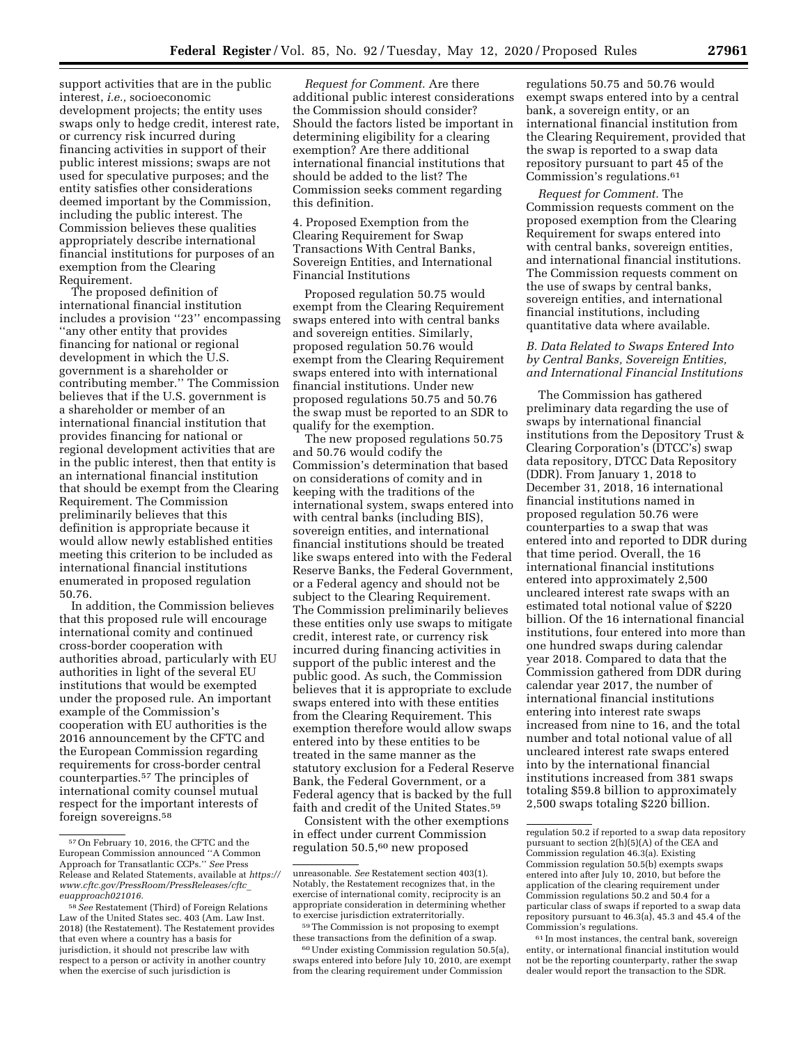support activities that are in the public interest, *i.e.,* socioeconomic development projects; the entity uses swaps only to hedge credit, interest rate, or currency risk incurred during financing activities in support of their public interest missions; swaps are not used for speculative purposes; and the entity satisfies other considerations deemed important by the Commission, including the public interest. The Commission believes these qualities appropriately describe international financial institutions for purposes of an exemption from the Clearing Requirement.

The proposed definition of international financial institution includes a provision ''23'' encompassing ''any other entity that provides financing for national or regional development in which the U.S. government is a shareholder or contributing member.'' The Commission believes that if the U.S. government is a shareholder or member of an international financial institution that provides financing for national or regional development activities that are in the public interest, then that entity is an international financial institution that should be exempt from the Clearing Requirement. The Commission preliminarily believes that this definition is appropriate because it would allow newly established entities meeting this criterion to be included as international financial institutions enumerated in proposed regulation 50.76.

In addition, the Commission believes that this proposed rule will encourage international comity and continued cross-border cooperation with authorities abroad, particularly with EU authorities in light of the several EU institutions that would be exempted under the proposed rule. An important example of the Commission's cooperation with EU authorities is the 2016 announcement by the CFTC and the European Commission regarding requirements for cross-border central counterparties.57 The principles of international comity counsel mutual respect for the important interests of foreign sovereigns.58

*Request for Comment.* Are there additional public interest considerations the Commission should consider? Should the factors listed be important in determining eligibility for a clearing exemption? Are there additional international financial institutions that should be added to the list? The Commission seeks comment regarding this definition.

4. Proposed Exemption from the Clearing Requirement for Swap Transactions With Central Banks, Sovereign Entities, and International Financial Institutions

Proposed regulation 50.75 would exempt from the Clearing Requirement swaps entered into with central banks and sovereign entities. Similarly, proposed regulation 50.76 would exempt from the Clearing Requirement swaps entered into with international financial institutions. Under new proposed regulations 50.75 and 50.76 the swap must be reported to an SDR to qualify for the exemption.

The new proposed regulations 50.75 and 50.76 would codify the Commission's determination that based on considerations of comity and in keeping with the traditions of the international system, swaps entered into with central banks (including BIS), sovereign entities, and international financial institutions should be treated like swaps entered into with the Federal Reserve Banks, the Federal Government, or a Federal agency and should not be subject to the Clearing Requirement. The Commission preliminarily believes these entities only use swaps to mitigate credit, interest rate, or currency risk incurred during financing activities in support of the public interest and the public good. As such, the Commission believes that it is appropriate to exclude swaps entered into with these entities from the Clearing Requirement. This exemption therefore would allow swaps entered into by these entities to be treated in the same manner as the statutory exclusion for a Federal Reserve Bank, the Federal Government, or a Federal agency that is backed by the full faith and credit of the United States.<sup>59</sup>

Consistent with the other exemptions in effect under current Commission regulation 50.5,60 new proposed

regulations 50.75 and 50.76 would exempt swaps entered into by a central bank, a sovereign entity, or an international financial institution from the Clearing Requirement, provided that the swap is reported to a swap data repository pursuant to part 45 of the Commission's regulations.61

*Request for Comment.* The Commission requests comment on the proposed exemption from the Clearing Requirement for swaps entered into with central banks, sovereign entities, and international financial institutions. The Commission requests comment on the use of swaps by central banks, sovereign entities, and international financial institutions, including quantitative data where available.

# *B. Data Related to Swaps Entered Into by Central Banks, Sovereign Entities, and International Financial Institutions*

The Commission has gathered preliminary data regarding the use of swaps by international financial institutions from the Depository Trust & Clearing Corporation's (DTCC's) swap data repository, DTCC Data Repository (DDR). From January 1, 2018 to December 31, 2018, 16 international financial institutions named in proposed regulation 50.76 were counterparties to a swap that was entered into and reported to DDR during that time period. Overall, the 16 international financial institutions entered into approximately 2,500 uncleared interest rate swaps with an estimated total notional value of \$220 billion. Of the 16 international financial institutions, four entered into more than one hundred swaps during calendar year 2018. Compared to data that the Commission gathered from DDR during calendar year 2017, the number of international financial institutions entering into interest rate swaps increased from nine to 16, and the total number and total notional value of all uncleared interest rate swaps entered into by the international financial institutions increased from 381 swaps totaling \$59.8 billion to approximately 2,500 swaps totaling \$220 billion.

61 In most instances, the central bank, sovereign entity, or international financial institution would not be the reporting counterparty, rather the swap dealer would report the transaction to the SDR.

<sup>57</sup>On February 10, 2016, the CFTC and the European Commission announced ''A Common Approach for Transatlantic CCPs.'' *See* Press Release and Related Statements, available at *[https://](https://www.cftc.gov/PressRoom/PressReleases/cftc_euapproach021016) [www.cftc.gov/PressRoom/PressReleases/cftc](https://www.cftc.gov/PressRoom/PressReleases/cftc_euapproach021016)*\_ *[euapproach021016.](https://www.cftc.gov/PressRoom/PressReleases/cftc_euapproach021016)* 

<sup>58</sup>*See* Restatement (Third) of Foreign Relations Law of the United States sec. 403 (Am. Law Inst. 2018) (the Restatement). The Restatement provides that even where a country has a basis for jurisdiction, it should not prescribe law with respect to a person or activity in another country when the exercise of such jurisdiction is

unreasonable. *See* Restatement section 403(1). Notably, the Restatement recognizes that, in the exercise of international comity, reciprocity is an appropriate consideration in determining whether to exercise jurisdiction extraterritorially.

<sup>59</sup>The Commission is not proposing to exempt these transactions from the definition of a swap.

<sup>60</sup>Under existing Commission regulation 50.5(a), swaps entered into before July 10, 2010, are exempt from the clearing requirement under Commission

regulation 50.2 if reported to a swap data repository pursuant to section 2(h)(5)(A) of the CEA and Commission regulation 46.3(a). Existing Commission regulation 50.5(b) exempts swaps entered into after July 10, 2010, but before the application of the clearing requirement under Commission regulations 50.2 and 50.4 for a particular class of swaps if reported to a swap data repository pursuant to 46.3(a), 45.3 and 45.4 of the Commission's regulations.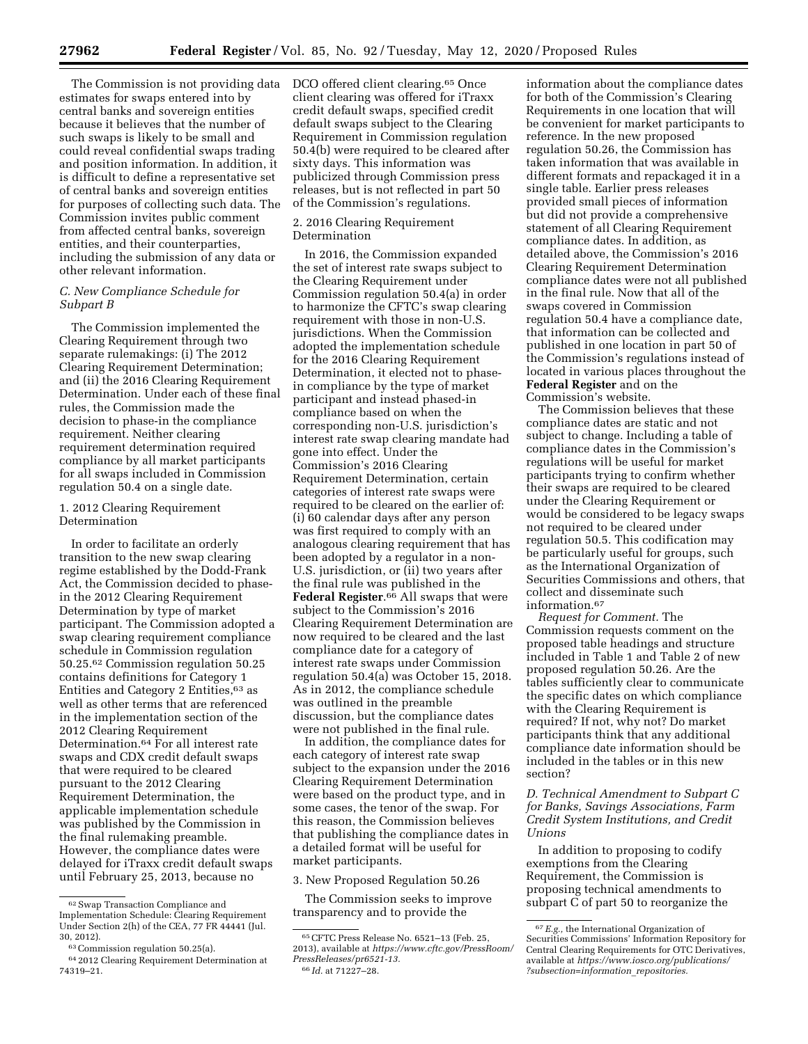The Commission is not providing data estimates for swaps entered into by central banks and sovereign entities because it believes that the number of such swaps is likely to be small and could reveal confidential swaps trading and position information. In addition, it is difficult to define a representative set of central banks and sovereign entities for purposes of collecting such data. The Commission invites public comment from affected central banks, sovereign entities, and their counterparties, including the submission of any data or other relevant information.

# *C. New Compliance Schedule for Subpart B*

The Commission implemented the Clearing Requirement through two separate rulemakings: (i) The 2012 Clearing Requirement Determination; and (ii) the 2016 Clearing Requirement Determination. Under each of these final rules, the Commission made the decision to phase-in the compliance requirement. Neither clearing requirement determination required compliance by all market participants for all swaps included in Commission regulation 50.4 on a single date.

### 1. 2012 Clearing Requirement Determination

In order to facilitate an orderly transition to the new swap clearing regime established by the Dodd-Frank Act, the Commission decided to phasein the 2012 Clearing Requirement Determination by type of market participant. The Commission adopted a swap clearing requirement compliance schedule in Commission regulation 50.25.62 Commission regulation 50.25 contains definitions for Category 1 Entities and Category 2 Entities, 63 as well as other terms that are referenced in the implementation section of the 2012 Clearing Requirement Determination.64 For all interest rate swaps and CDX credit default swaps that were required to be cleared pursuant to the 2012 Clearing Requirement Determination, the applicable implementation schedule was published by the Commission in the final rulemaking preamble. However, the compliance dates were delayed for iTraxx credit default swaps until February 25, 2013, because no

DCO offered client clearing.<sup>65</sup> Once client clearing was offered for iTraxx credit default swaps, specified credit default swaps subject to the Clearing Requirement in Commission regulation 50.4(b) were required to be cleared after sixty days. This information was publicized through Commission press releases, but is not reflected in part 50 of the Commission's regulations.

### 2. 2016 Clearing Requirement Determination

In 2016, the Commission expanded the set of interest rate swaps subject to the Clearing Requirement under Commission regulation 50.4(a) in order to harmonize the CFTC's swap clearing requirement with those in non-U.S. jurisdictions. When the Commission adopted the implementation schedule for the 2016 Clearing Requirement Determination, it elected not to phasein compliance by the type of market participant and instead phased-in compliance based on when the corresponding non-U.S. jurisdiction's interest rate swap clearing mandate had gone into effect. Under the Commission's 2016 Clearing Requirement Determination, certain categories of interest rate swaps were required to be cleared on the earlier of: (i) 60 calendar days after any person was first required to comply with an analogous clearing requirement that has been adopted by a regulator in a non-U.S. jurisdiction, or (ii) two years after the final rule was published in the **Federal Register**.66 All swaps that were subject to the Commission's 2016 Clearing Requirement Determination are now required to be cleared and the last compliance date for a category of interest rate swaps under Commission regulation 50.4(a) was October 15, 2018. As in 2012, the compliance schedule was outlined in the preamble discussion, but the compliance dates were not published in the final rule.

In addition, the compliance dates for each category of interest rate swap subject to the expansion under the 2016 Clearing Requirement Determination were based on the product type, and in some cases, the tenor of the swap. For this reason, the Commission believes that publishing the compliance dates in a detailed format will be useful for market participants.

#### 3. New Proposed Regulation 50.26

The Commission seeks to improve transparency and to provide the

information about the compliance dates for both of the Commission's Clearing Requirements in one location that will be convenient for market participants to reference. In the new proposed regulation 50.26, the Commission has taken information that was available in different formats and repackaged it in a single table. Earlier press releases provided small pieces of information but did not provide a comprehensive statement of all Clearing Requirement compliance dates. In addition, as detailed above, the Commission's 2016 Clearing Requirement Determination compliance dates were not all published in the final rule. Now that all of the swaps covered in Commission regulation 50.4 have a compliance date, that information can be collected and published in one location in part 50 of the Commission's regulations instead of located in various places throughout the **Federal Register** and on the Commission's website.

The Commission believes that these compliance dates are static and not subject to change. Including a table of compliance dates in the Commission's regulations will be useful for market participants trying to confirm whether their swaps are required to be cleared under the Clearing Requirement or would be considered to be legacy swaps not required to be cleared under regulation 50.5. This codification may be particularly useful for groups, such as the International Organization of Securities Commissions and others, that collect and disseminate such information.67

*Request for Comment.* The Commission requests comment on the proposed table headings and structure included in Table 1 and Table 2 of new proposed regulation 50.26. Are the tables sufficiently clear to communicate the specific dates on which compliance with the Clearing Requirement is required? If not, why not? Do market participants think that any additional compliance date information should be included in the tables or in this new section?

# *D. Technical Amendment to Subpart C for Banks, Savings Associations, Farm Credit System Institutions, and Credit Unions*

In addition to proposing to codify exemptions from the Clearing Requirement, the Commission is proposing technical amendments to subpart C of part 50 to reorganize the

<sup>62</sup>Swap Transaction Compliance and Implementation Schedule: Clearing Requirement Under Section 2(h) of the CEA, 77 FR 44441 (Jul. 30, 2012).

<sup>63</sup>Commission regulation 50.25(a).

<sup>64</sup> 2012 Clearing Requirement Determination at 74319–21.

<sup>65</sup>CFTC Press Release No. 6521–13 (Feb. 25, 2013), available at *[https://www.cftc.gov/PressRoom/](https://www.cftc.gov/PressRoom/PressReleases/pr6521-13) [PressReleases/pr6521-13.](https://www.cftc.gov/PressRoom/PressReleases/pr6521-13)*  66 *Id.* at 71227–28.

<sup>67</sup>*E.g.,* the International Organization of Securities Commissions' Information Repository for Central Clearing Requirements for OTC Derivatives, available at *[https://www.iosco.org/publications/](https://www.iosco.org/publications/?subsection=information_repositories) [?subsection=information](https://www.iosco.org/publications/?subsection=information_repositories)*\_*repositories.*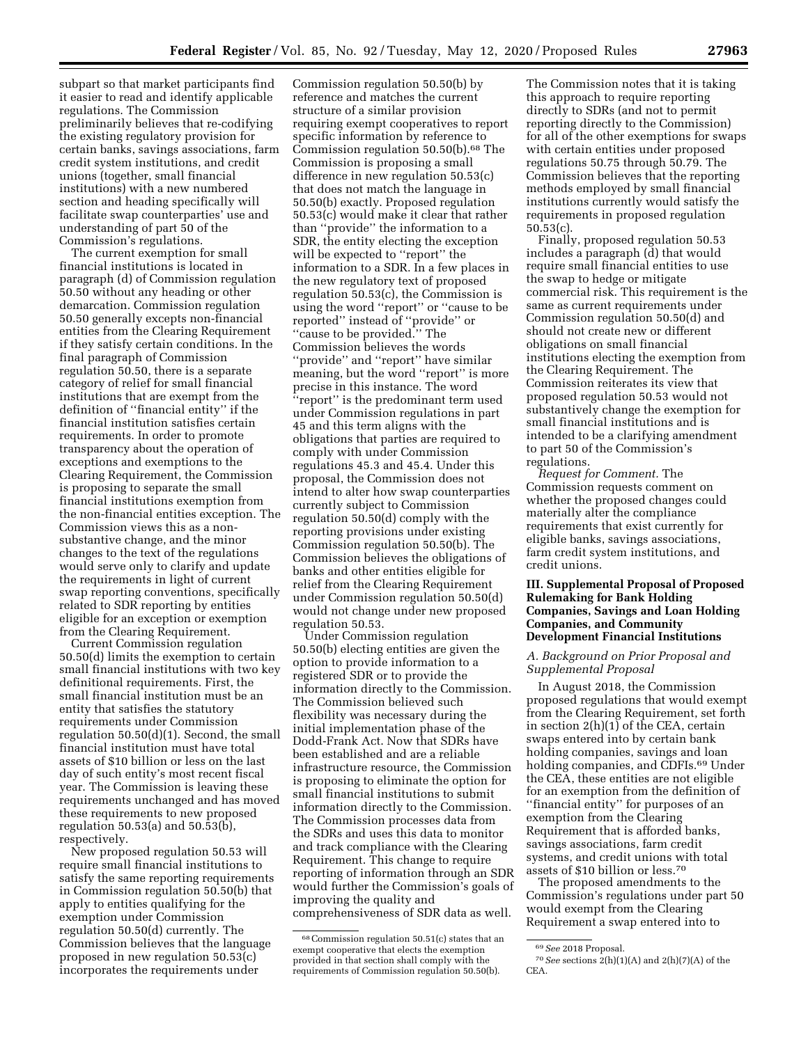subpart so that market participants find it easier to read and identify applicable regulations. The Commission preliminarily believes that re-codifying the existing regulatory provision for certain banks, savings associations, farm credit system institutions, and credit unions (together, small financial institutions) with a new numbered section and heading specifically will facilitate swap counterparties' use and understanding of part 50 of the Commission's regulations.

The current exemption for small financial institutions is located in paragraph (d) of Commission regulation 50.50 without any heading or other demarcation. Commission regulation 50.50 generally excepts non-financial entities from the Clearing Requirement if they satisfy certain conditions. In the final paragraph of Commission regulation 50.50, there is a separate category of relief for small financial institutions that are exempt from the definition of ''financial entity'' if the financial institution satisfies certain requirements. In order to promote transparency about the operation of exceptions and exemptions to the Clearing Requirement, the Commission is proposing to separate the small financial institutions exemption from the non-financial entities exception. The Commission views this as a nonsubstantive change, and the minor changes to the text of the regulations would serve only to clarify and update the requirements in light of current swap reporting conventions, specifically related to SDR reporting by entities eligible for an exception or exemption from the Clearing Requirement.

Current Commission regulation 50.50(d) limits the exemption to certain small financial institutions with two key definitional requirements. First, the small financial institution must be an entity that satisfies the statutory requirements under Commission regulation 50.50(d)(1). Second, the small financial institution must have total assets of \$10 billion or less on the last day of such entity's most recent fiscal year. The Commission is leaving these requirements unchanged and has moved these requirements to new proposed regulation 50.53(a) and 50.53(b), respectively.

New proposed regulation 50.53 will require small financial institutions to satisfy the same reporting requirements in Commission regulation 50.50(b) that apply to entities qualifying for the exemption under Commission regulation 50.50(d) currently. The Commission believes that the language proposed in new regulation 50.53(c) incorporates the requirements under

Commission regulation 50.50(b) by reference and matches the current structure of a similar provision requiring exempt cooperatives to report specific information by reference to Commission regulation 50.50(b).68 The Commission is proposing a small difference in new regulation 50.53(c) that does not match the language in 50.50(b) exactly. Proposed regulation 50.53(c) would make it clear that rather than ''provide'' the information to a SDR, the entity electing the exception will be expected to ''report'' the information to a SDR. In a few places in the new regulatory text of proposed regulation 50.53(c), the Commission is using the word ''report'' or ''cause to be reported'' instead of ''provide'' or ''cause to be provided.'' The Commission believes the words ''provide'' and ''report'' have similar meaning, but the word ''report'' is more precise in this instance. The word ''report'' is the predominant term used under Commission regulations in part 45 and this term aligns with the obligations that parties are required to comply with under Commission regulations 45.3 and 45.4. Under this proposal, the Commission does not intend to alter how swap counterparties currently subject to Commission regulation 50.50(d) comply with the reporting provisions under existing Commission regulation 50.50(b). The Commission believes the obligations of banks and other entities eligible for relief from the Clearing Requirement under Commission regulation 50.50(d) would not change under new proposed regulation 50.53.

Under Commission regulation 50.50(b) electing entities are given the option to provide information to a registered SDR or to provide the information directly to the Commission. The Commission believed such flexibility was necessary during the initial implementation phase of the Dodd-Frank Act. Now that SDRs have been established and are a reliable infrastructure resource, the Commission is proposing to eliminate the option for small financial institutions to submit information directly to the Commission. The Commission processes data from the SDRs and uses this data to monitor and track compliance with the Clearing Requirement. This change to require reporting of information through an SDR would further the Commission's goals of improving the quality and comprehensiveness of SDR data as well.

The Commission notes that it is taking this approach to require reporting directly to SDRs (and not to permit reporting directly to the Commission) for all of the other exemptions for swaps with certain entities under proposed regulations 50.75 through 50.79. The Commission believes that the reporting methods employed by small financial institutions currently would satisfy the requirements in proposed regulation 50.53(c).

Finally, proposed regulation 50.53 includes a paragraph (d) that would require small financial entities to use the swap to hedge or mitigate commercial risk. This requirement is the same as current requirements under Commission regulation 50.50(d) and should not create new or different obligations on small financial institutions electing the exemption from the Clearing Requirement. The Commission reiterates its view that proposed regulation 50.53 would not substantively change the exemption for small financial institutions and is intended to be a clarifying amendment to part 50 of the Commission's regulations.

*Request for Comment.* The Commission requests comment on whether the proposed changes could materially alter the compliance requirements that exist currently for eligible banks, savings associations, farm credit system institutions, and credit unions.

## **III. Supplemental Proposal of Proposed Rulemaking for Bank Holding Companies, Savings and Loan Holding Companies, and Community Development Financial Institutions**

# *A. Background on Prior Proposal and Supplemental Proposal*

In August 2018, the Commission proposed regulations that would exempt from the Clearing Requirement, set forth in section 2(h)(1) of the CEA, certain swaps entered into by certain bank holding companies, savings and loan holding companies, and CDFIs.<sup>69</sup> Under the CEA, these entities are not eligible for an exemption from the definition of ''financial entity'' for purposes of an exemption from the Clearing Requirement that is afforded banks, savings associations, farm credit systems, and credit unions with total assets of \$10 billion or less.70

The proposed amendments to the Commission's regulations under part 50 would exempt from the Clearing Requirement a swap entered into to

<sup>68</sup>Commission regulation 50.51(c) states that an exempt cooperative that elects the exemption provided in that section shall comply with the requirements of Commission regulation 50.50(b).

<sup>69</sup>*See* 2018 Proposal.

<sup>70</sup>*See* sections 2(h)(1)(A) and 2(h)(7)(A) of the CEA.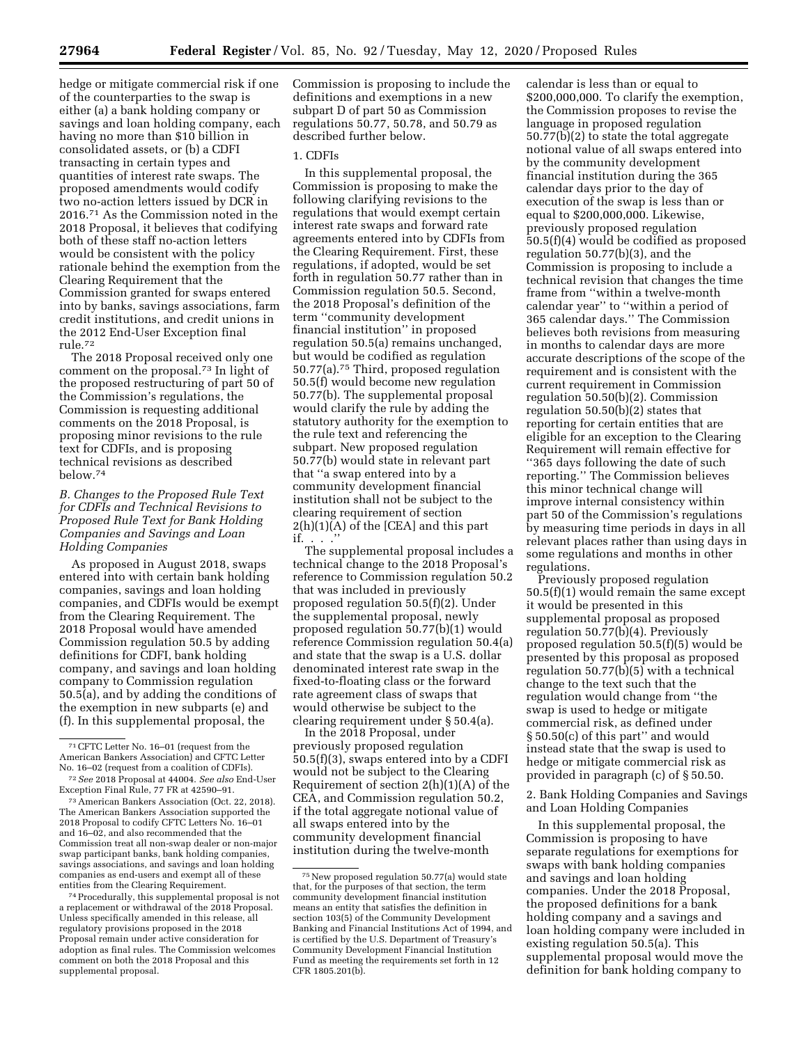hedge or mitigate commercial risk if one of the counterparties to the swap is either (a) a bank holding company or savings and loan holding company, each having no more than \$10 billion in consolidated assets, or (b) a CDFI transacting in certain types and quantities of interest rate swaps. The proposed amendments would codify two no-action letters issued by DCR in 2016.71 As the Commission noted in the 2018 Proposal, it believes that codifying both of these staff no-action letters would be consistent with the policy rationale behind the exemption from the Clearing Requirement that the Commission granted for swaps entered into by banks, savings associations, farm credit institutions, and credit unions in the 2012 End-User Exception final rule.72

The 2018 Proposal received only one comment on the proposal.73 In light of the proposed restructuring of part 50 of the Commission's regulations, the Commission is requesting additional comments on the 2018 Proposal, is proposing minor revisions to the rule text for CDFIs, and is proposing technical revisions as described below.74

# *B. Changes to the Proposed Rule Text for CDFIs and Technical Revisions to Proposed Rule Text for Bank Holding Companies and Savings and Loan Holding Companies*

As proposed in August 2018, swaps entered into with certain bank holding companies, savings and loan holding companies, and CDFIs would be exempt from the Clearing Requirement. The 2018 Proposal would have amended Commission regulation 50.5 by adding definitions for CDFI, bank holding company, and savings and loan holding company to Commission regulation 50.5(a), and by adding the conditions of the exemption in new subparts (e) and (f). In this supplemental proposal, the

73American Bankers Association (Oct. 22, 2018). The American Bankers Association supported the 2018 Proposal to codify CFTC Letters No. 16–01 and 16–02, and also recommended that the Commission treat all non-swap dealer or non-major swap participant banks, bank holding companies, savings associations, and savings and loan holding companies as end-users and exempt all of these entities from the Clearing Requirement.

74Procedurally, this supplemental proposal is not a replacement or withdrawal of the 2018 Proposal. Unless specifically amended in this release, all regulatory provisions proposed in the 2018 Proposal remain under active consideration for adoption as final rules. The Commission welcomes comment on both the 2018 Proposal and this supplemental proposal.

Commission is proposing to include the definitions and exemptions in a new subpart D of part 50 as Commission regulations 50.77, 50.78, and 50.79 as described further below.

## 1. CDFIs

In this supplemental proposal, the Commission is proposing to make the following clarifying revisions to the regulations that would exempt certain interest rate swaps and forward rate agreements entered into by CDFIs from the Clearing Requirement. First, these regulations, if adopted, would be set forth in regulation 50.77 rather than in Commission regulation 50.5. Second, the 2018 Proposal's definition of the term ''community development financial institution'' in proposed regulation 50.5(a) remains unchanged, but would be codified as regulation 50.77(a).75 Third, proposed regulation 50.5(f) would become new regulation 50.77(b). The supplemental proposal would clarify the rule by adding the statutory authority for the exemption to the rule text and referencing the subpart. New proposed regulation 50.77(b) would state in relevant part that ''a swap entered into by a community development financial institution shall not be subject to the clearing requirement of section  $2(h)(1)(A)$  of the [CEA] and this part if. . . .''

The supplemental proposal includes a technical change to the 2018 Proposal's reference to Commission regulation 50.2 that was included in previously proposed regulation 50.5(f)(2). Under the supplemental proposal, newly proposed regulation 50.77(b)(1) would reference Commission regulation 50.4(a) and state that the swap is a U.S. dollar denominated interest rate swap in the fixed-to-floating class or the forward rate agreement class of swaps that would otherwise be subject to the clearing requirement under § 50.4(a).

In the 2018 Proposal, under previously proposed regulation 50.5(f)(3), swaps entered into by a CDFI would not be subject to the Clearing Requirement of section 2(h)(1)(A) of the CEA, and Commission regulation 50.2, if the total aggregate notional value of all swaps entered into by the community development financial institution during the twelve-month

calendar is less than or equal to \$200,000,000. To clarify the exemption, the Commission proposes to revise the language in proposed regulation  $50.77(b)(2)$  to state the total aggregate notional value of all swaps entered into by the community development financial institution during the 365 calendar days prior to the day of execution of the swap is less than or equal to \$200,000,000. Likewise, previously proposed regulation 50.5(f)(4) would be codified as proposed regulation 50.77(b)(3), and the Commission is proposing to include a technical revision that changes the time frame from ''within a twelve-month calendar year'' to ''within a period of 365 calendar days.'' The Commission believes both revisions from measuring in months to calendar days are more accurate descriptions of the scope of the requirement and is consistent with the current requirement in Commission regulation 50.50(b)(2). Commission regulation 50.50(b)(2) states that reporting for certain entities that are eligible for an exception to the Clearing Requirement will remain effective for ''365 days following the date of such reporting.'' The Commission believes this minor technical change will improve internal consistency within part 50 of the Commission's regulations by measuring time periods in days in all relevant places rather than using days in some regulations and months in other regulations.

Previously proposed regulation 50.5(f)(1) would remain the same except it would be presented in this supplemental proposal as proposed regulation 50.77(b)(4). Previously proposed regulation 50.5(f)(5) would be presented by this proposal as proposed regulation 50.77(b)(5) with a technical change to the text such that the regulation would change from ''the swap is used to hedge or mitigate commercial risk, as defined under § 50.50(c) of this part'' and would instead state that the swap is used to hedge or mitigate commercial risk as provided in paragraph (c) of § 50.50.

2. Bank Holding Companies and Savings and Loan Holding Companies

In this supplemental proposal, the Commission is proposing to have separate regulations for exemptions for swaps with bank holding companies and savings and loan holding companies. Under the 2018 Proposal, the proposed definitions for a bank holding company and a savings and loan holding company were included in existing regulation 50.5(a). This supplemental proposal would move the definition for bank holding company to

<sup>71</sup>CFTC Letter No. 16–01 (request from the American Bankers Association) and CFTC Letter No. 16–02 (request from a coalition of CDFIs).

<sup>72</sup>*See* 2018 Proposal at 44004. *See also* End-User Exception Final Rule, 77 FR at 42590–91.

<sup>75</sup>New proposed regulation 50.77(a) would state that, for the purposes of that section, the term community development financial institution means an entity that satisfies the definition in section 103(5) of the Community Development Banking and Financial Institutions Act of 1994, and is certified by the U.S. Department of Treasury's Community Development Financial Institution Fund as meeting the requirements set forth in 12 CFR 1805.201(b).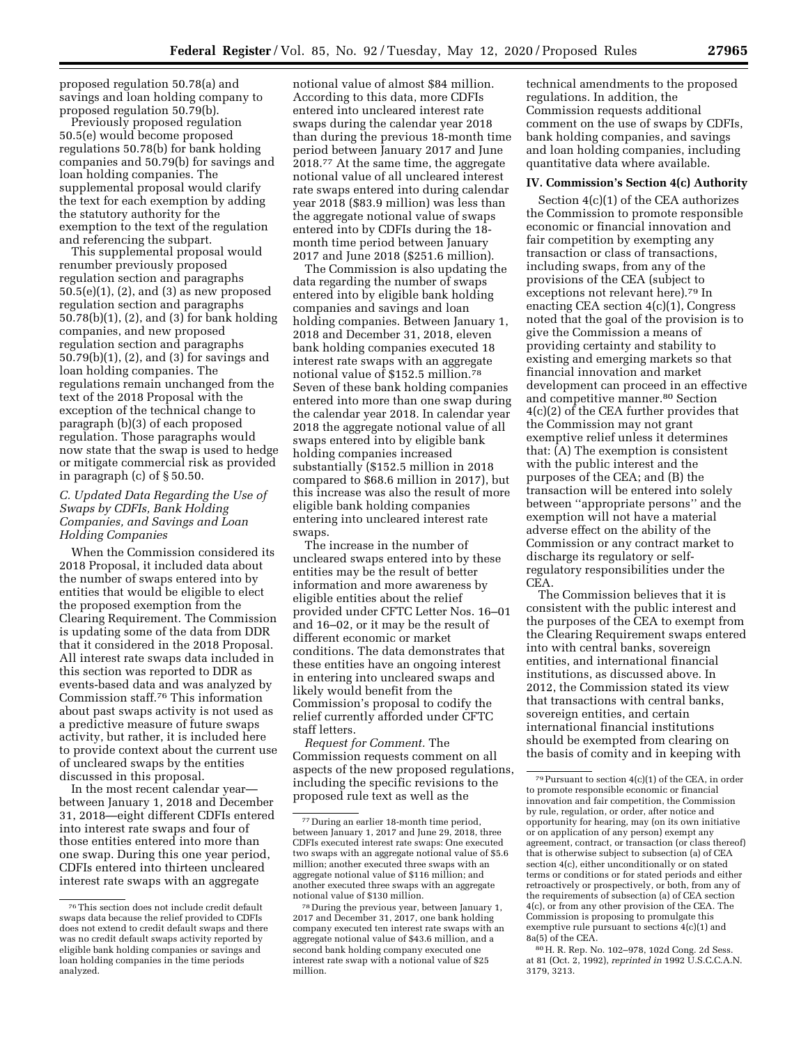proposed regulation 50.78(a) and savings and loan holding company to proposed regulation 50.79(b).

Previously proposed regulation 50.5(e) would become proposed regulations 50.78(b) for bank holding companies and 50.79(b) for savings and loan holding companies. The supplemental proposal would clarify the text for each exemption by adding the statutory authority for the exemption to the text of the regulation and referencing the subpart.

This supplemental proposal would renumber previously proposed regulation section and paragraphs 50.5(e)(1), (2), and (3) as new proposed regulation section and paragraphs 50.78(b)(1), (2), and (3) for bank holding companies, and new proposed regulation section and paragraphs 50.79(b)(1), (2), and (3) for savings and loan holding companies. The regulations remain unchanged from the text of the 2018 Proposal with the exception of the technical change to paragraph (b)(3) of each proposed regulation. Those paragraphs would now state that the swap is used to hedge or mitigate commercial risk as provided in paragraph (c) of § 50.50.

# *C. Updated Data Regarding the Use of Swaps by CDFIs, Bank Holding Companies, and Savings and Loan Holding Companies*

When the Commission considered its 2018 Proposal, it included data about the number of swaps entered into by entities that would be eligible to elect the proposed exemption from the Clearing Requirement. The Commission is updating some of the data from DDR that it considered in the 2018 Proposal. All interest rate swaps data included in this section was reported to DDR as events-based data and was analyzed by Commission staff.76 This information about past swaps activity is not used as a predictive measure of future swaps activity, but rather, it is included here to provide context about the current use of uncleared swaps by the entities discussed in this proposal.

In the most recent calendar year between January 1, 2018 and December 31, 2018—eight different CDFIs entered into interest rate swaps and four of those entities entered into more than one swap. During this one year period, CDFIs entered into thirteen uncleared interest rate swaps with an aggregate

notional value of almost \$84 million. According to this data, more CDFIs entered into uncleared interest rate swaps during the calendar year 2018 than during the previous 18-month time period between January 2017 and June 2018.77 At the same time, the aggregate notional value of all uncleared interest rate swaps entered into during calendar year 2018 (\$83.9 million) was less than the aggregate notional value of swaps entered into by CDFIs during the 18 month time period between January 2017 and June 2018 (\$251.6 million).

The Commission is also updating the data regarding the number of swaps entered into by eligible bank holding companies and savings and loan holding companies. Between January 1, 2018 and December 31, 2018, eleven bank holding companies executed 18 interest rate swaps with an aggregate notional value of \$152.5 million.78 Seven of these bank holding companies entered into more than one swap during the calendar year 2018. In calendar year 2018 the aggregate notional value of all swaps entered into by eligible bank holding companies increased substantially (\$152.5 million in 2018 compared to \$68.6 million in 2017), but this increase was also the result of more eligible bank holding companies entering into uncleared interest rate swaps.

The increase in the number of uncleared swaps entered into by these entities may be the result of better information and more awareness by eligible entities about the relief provided under CFTC Letter Nos. 16–01 and 16–02, or it may be the result of different economic or market conditions. The data demonstrates that these entities have an ongoing interest in entering into uncleared swaps and likely would benefit from the Commission's proposal to codify the relief currently afforded under CFTC staff letters.

*Request for Comment.* The Commission requests comment on all aspects of the new proposed regulations, including the specific revisions to the proposed rule text as well as the

technical amendments to the proposed regulations. In addition, the Commission requests additional comment on the use of swaps by CDFIs, bank holding companies, and savings and loan holding companies, including quantitative data where available.

#### **IV. Commission's Section 4(c) Authority**

Section 4(c)(1) of the CEA authorizes the Commission to promote responsible economic or financial innovation and fair competition by exempting any transaction or class of transactions, including swaps, from any of the provisions of the CEA (subject to exceptions not relevant here).79 In enacting CEA section 4(c)(1), Congress noted that the goal of the provision is to give the Commission a means of providing certainty and stability to existing and emerging markets so that financial innovation and market development can proceed in an effective and competitive manner.80 Section 4(c)(2) of the CEA further provides that the Commission may not grant exemptive relief unless it determines that: (A) The exemption is consistent with the public interest and the purposes of the CEA; and (B) the transaction will be entered into solely between ''appropriate persons'' and the exemption will not have a material adverse effect on the ability of the Commission or any contract market to discharge its regulatory or selfregulatory responsibilities under the CEA.

The Commission believes that it is consistent with the public interest and the purposes of the CEA to exempt from the Clearing Requirement swaps entered into with central banks, sovereign entities, and international financial institutions, as discussed above. In 2012, the Commission stated its view that transactions with central banks, sovereign entities, and certain international financial institutions should be exempted from clearing on the basis of comity and in keeping with

80H. R. Rep. No. 102–978, 102d Cong. 2d Sess. at 81 (Oct. 2, 1992), *reprinted in* 1992 U.S.C.C.A.N. 3179, 3213.

<sup>76</sup>This section does not include credit default swaps data because the relief provided to CDFIs does not extend to credit default swaps and there was no credit default swaps activity reported by eligible bank holding companies or savings and loan holding companies in the time periods analyzed.

<sup>77</sup> During an earlier 18-month time period, between January 1, 2017 and June 29, 2018, three CDFIs executed interest rate swaps: One executed two swaps with an aggregate notional value of \$5.6 million; another executed three swaps with an aggregate notional value of \$116 million; and another executed three swaps with an aggregate notional value of \$130 million.

<sup>78</sup> During the previous year, between January 1, 2017 and December 31, 2017, one bank holding company executed ten interest rate swaps with an aggregate notional value of \$43.6 million, and a second bank holding company executed one interest rate swap with a notional value of \$25 million.

 $79$  Pursuant to section  $4(c)(1)$  of the CEA, in order to promote responsible economic or financial innovation and fair competition, the Commission by rule, regulation, or order, after notice and opportunity for hearing, may (on its own initiative or on application of any person) exempt any agreement, contract, or transaction (or class thereof) that is otherwise subject to subsection (a) of CEA section 4(c), either unconditionally or on stated terms or conditions or for stated periods and either retroactively or prospectively, or both, from any of the requirements of subsection (a) of CEA section 4(c), or from any other provision of the CEA. The Commission is proposing to promulgate this exemptive rule pursuant to sections 4(c)(1) and 8a(5) of the CEA.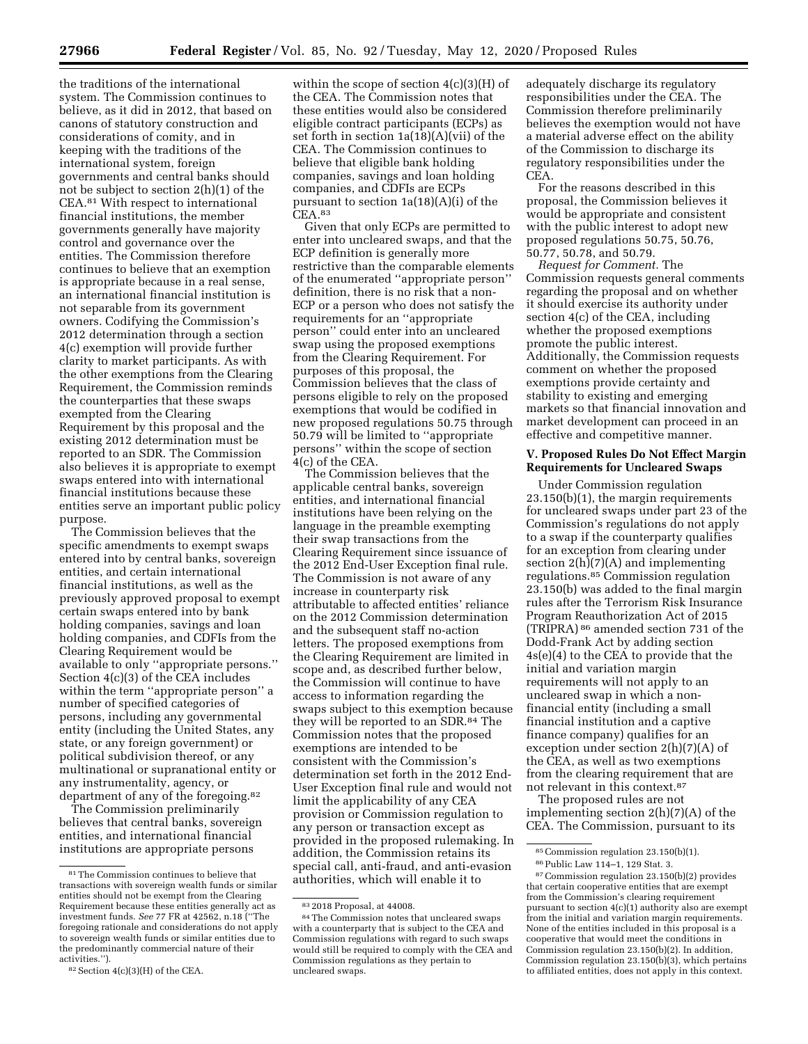the traditions of the international system. The Commission continues to believe, as it did in 2012, that based on canons of statutory construction and considerations of comity, and in keeping with the traditions of the international system, foreign governments and central banks should not be subject to section 2(h)(1) of the CEA.81 With respect to international financial institutions, the member governments generally have majority control and governance over the entities. The Commission therefore continues to believe that an exemption is appropriate because in a real sense, an international financial institution is not separable from its government owners. Codifying the Commission's 2012 determination through a section 4(c) exemption will provide further clarity to market participants. As with the other exemptions from the Clearing Requirement, the Commission reminds the counterparties that these swaps exempted from the Clearing Requirement by this proposal and the existing 2012 determination must be reported to an SDR. The Commission also believes it is appropriate to exempt swaps entered into with international financial institutions because these entities serve an important public policy purpose.

The Commission believes that the specific amendments to exempt swaps entered into by central banks, sovereign entities, and certain international financial institutions, as well as the previously approved proposal to exempt certain swaps entered into by bank holding companies, savings and loan holding companies, and CDFIs from the Clearing Requirement would be available to only ''appropriate persons.'' Section 4(c)(3) of the CEA includes within the term ''appropriate person'' a number of specified categories of persons, including any governmental entity (including the United States, any state, or any foreign government) or political subdivision thereof, or any multinational or supranational entity or any instrumentality, agency, or department of any of the foregoing.<sup>82</sup>

The Commission preliminarily believes that central banks, sovereign entities, and international financial institutions are appropriate persons

within the scope of section 4(c)(3)(H) of the CEA. The Commission notes that these entities would also be considered eligible contract participants (ECPs) as set forth in section 1a(18)(A)(vii) of the CEA. The Commission continues to believe that eligible bank holding companies, savings and loan holding companies, and CDFIs are ECPs pursuant to section 1a(18)(A)(i) of the CEA.83

Given that only ECPs are permitted to enter into uncleared swaps, and that the ECP definition is generally more restrictive than the comparable elements of the enumerated ''appropriate person'' definition, there is no risk that a non-ECP or a person who does not satisfy the requirements for an ''appropriate person'' could enter into an uncleared swap using the proposed exemptions from the Clearing Requirement. For purposes of this proposal, the Commission believes that the class of persons eligible to rely on the proposed exemptions that would be codified in new proposed regulations 50.75 through 50.79 will be limited to ''appropriate persons'' within the scope of section 4(c) of the CEA.

The Commission believes that the applicable central banks, sovereign entities, and international financial institutions have been relying on the language in the preamble exempting their swap transactions from the Clearing Requirement since issuance of the 2012 End-User Exception final rule. The Commission is not aware of any increase in counterparty risk attributable to affected entities' reliance on the 2012 Commission determination and the subsequent staff no-action letters. The proposed exemptions from the Clearing Requirement are limited in scope and, as described further below, the Commission will continue to have access to information regarding the swaps subject to this exemption because they will be reported to an SDR.<sup>84</sup> The Commission notes that the proposed exemptions are intended to be consistent with the Commission's determination set forth in the 2012 End-User Exception final rule and would not limit the applicability of any CEA provision or Commission regulation to any person or transaction except as provided in the proposed rulemaking. In addition, the Commission retains its special call, anti-fraud, and anti-evasion authorities, which will enable it to

adequately discharge its regulatory responsibilities under the CEA. The Commission therefore preliminarily believes the exemption would not have a material adverse effect on the ability of the Commission to discharge its regulatory responsibilities under the CEA.

For the reasons described in this proposal, the Commission believes it would be appropriate and consistent with the public interest to adopt new proposed regulations 50.75, 50.76, 50.77, 50.78, and 50.79.

*Request for Comment.* The Commission requests general comments regarding the proposal and on whether it should exercise its authority under section 4(c) of the CEA, including whether the proposed exemptions promote the public interest. Additionally, the Commission requests comment on whether the proposed exemptions provide certainty and stability to existing and emerging markets so that financial innovation and market development can proceed in an effective and competitive manner.

## **V. Proposed Rules Do Not Effect Margin Requirements for Uncleared Swaps**

Under Commission regulation 23.150(b)(1), the margin requirements for uncleared swaps under part 23 of the Commission's regulations do not apply to a swap if the counterparty qualifies for an exception from clearing under section  $2(h)(7)(A)$  and implementing regulations.85 Commission regulation 23.150(b) was added to the final margin rules after the Terrorism Risk Insurance Program Reauthorization Act of 2015 (TRIPRA) 86 amended section 731 of the Dodd-Frank Act by adding section 4s(e)(4) to the CEA to provide that the initial and variation margin requirements will not apply to an uncleared swap in which a nonfinancial entity (including a small financial institution and a captive finance company) qualifies for an exception under section 2(h)(7)(A) of the CEA, as well as two exemptions from the clearing requirement that are not relevant in this context.87

The proposed rules are not implementing section 2(h)(7)(A) of the CEA. The Commission, pursuant to its

<sup>81</sup>The Commission continues to believe that transactions with sovereign wealth funds or similar entities should not be exempt from the Clearing Requirement because these entities generally act as investment funds. *See* 77 FR at 42562, n.18 (''The foregoing rationale and considerations do not apply to sovereign wealth funds or similar entities due to the predominantly commercial nature of their activities.'').

<sup>82</sup>Section 4(c)(3)(H) of the CEA.

<sup>83</sup> 2018 Proposal, at 44008.

<sup>84</sup>The Commission notes that uncleared swaps with a counterparty that is subject to the CEA and Commission regulations with regard to such swaps would still be required to comply with the CEA and Commission regulations as they pertain to uncleared swaps.

<sup>85</sup>Commission regulation 23.150(b)(1). 86Public Law 114–1, 129 Stat. 3.

<sup>87</sup>Commission regulation 23.150(b)(2) provides that certain cooperative entities that are exempt from the Commission's clearing requirement pursuant to section 4(c)(1) authority also are exempt from the initial and variation margin requirements. None of the entities included in this proposal is a cooperative that would meet the conditions in Commission regulation 23.150(b)(2). In addition, Commission regulation 23.150(b)(3), which pertains to affiliated entities, does not apply in this context.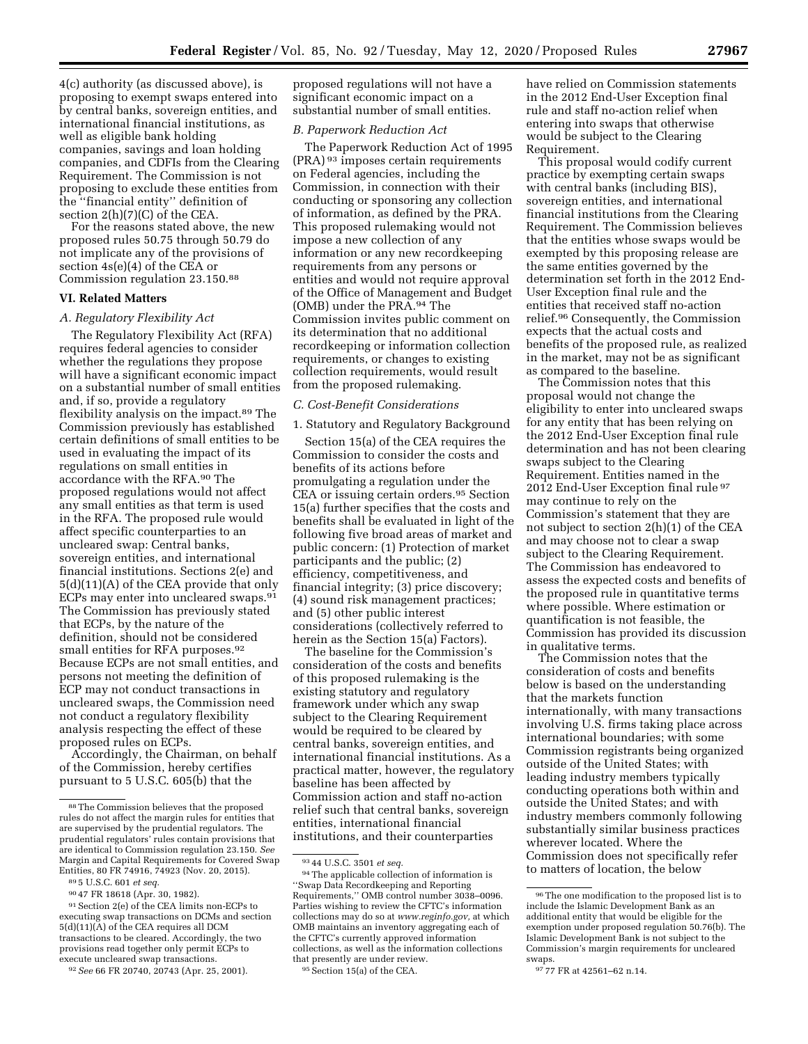4(c) authority (as discussed above), is proposing to exempt swaps entered into by central banks, sovereign entities, and international financial institutions, as well as eligible bank holding companies, savings and loan holding companies, and CDFIs from the Clearing Requirement. The Commission is not proposing to exclude these entities from the ''financial entity'' definition of section 2(h)(7)(C) of the CEA.

For the reasons stated above, the new proposed rules 50.75 through 50.79 do not implicate any of the provisions of section 4s(e)(4) of the CEA or Commission regulation 23.150.88

#### **VI. Related Matters**

#### *A. Regulatory Flexibility Act*

The Regulatory Flexibility Act (RFA) requires federal agencies to consider whether the regulations they propose will have a significant economic impact on a substantial number of small entities and, if so, provide a regulatory flexibility analysis on the impact.89 The Commission previously has established certain definitions of small entities to be used in evaluating the impact of its regulations on small entities in accordance with the RFA.90 The proposed regulations would not affect any small entities as that term is used in the RFA. The proposed rule would affect specific counterparties to an uncleared swap: Central banks, sovereign entities, and international financial institutions. Sections 2(e) and 5(d)(11)(A) of the CEA provide that only ECPs may enter into uncleared swaps.91 The Commission has previously stated that ECPs, by the nature of the definition, should not be considered small entities for RFA purposes.<sup>92</sup> Because ECPs are not small entities, and persons not meeting the definition of ECP may not conduct transactions in uncleared swaps, the Commission need not conduct a regulatory flexibility analysis respecting the effect of these proposed rules on ECPs.

Accordingly, the Chairman, on behalf of the Commission, hereby certifies pursuant to 5 U.S.C. 605(b) that the

proposed regulations will not have a significant economic impact on a substantial number of small entities.

#### *B. Paperwork Reduction Act*

The Paperwork Reduction Act of 1995 (PRA) 93 imposes certain requirements on Federal agencies, including the Commission, in connection with their conducting or sponsoring any collection of information, as defined by the PRA. This proposed rulemaking would not impose a new collection of any information or any new recordkeeping requirements from any persons or entities and would not require approval of the Office of Management and Budget (OMB) under the PRA.94 The Commission invites public comment on its determination that no additional recordkeeping or information collection requirements, or changes to existing collection requirements, would result from the proposed rulemaking.

# *C. Cost-Benefit Considerations*

#### 1. Statutory and Regulatory Background

Section 15(a) of the CEA requires the Commission to consider the costs and benefits of its actions before promulgating a regulation under the CEA or issuing certain orders.95 Section 15(a) further specifies that the costs and benefits shall be evaluated in light of the following five broad areas of market and public concern: (1) Protection of market participants and the public; (2) efficiency, competitiveness, and financial integrity; (3) price discovery; (4) sound risk management practices; and (5) other public interest considerations (collectively referred to herein as the Section 15(a) Factors).

The baseline for the Commission's consideration of the costs and benefits of this proposed rulemaking is the existing statutory and regulatory framework under which any swap subject to the Clearing Requirement would be required to be cleared by central banks, sovereign entities, and international financial institutions. As a practical matter, however, the regulatory baseline has been affected by Commission action and staff no-action relief such that central banks, sovereign entities, international financial institutions, and their counterparties

have relied on Commission statements in the 2012 End-User Exception final rule and staff no-action relief when entering into swaps that otherwise would be subject to the Clearing Requirement.

This proposal would codify current practice by exempting certain swaps with central banks (including BIS), sovereign entities, and international financial institutions from the Clearing Requirement. The Commission believes that the entities whose swaps would be exempted by this proposing release are the same entities governed by the determination set forth in the 2012 End-User Exception final rule and the entities that received staff no-action relief.96 Consequently, the Commission expects that the actual costs and benefits of the proposed rule, as realized in the market, may not be as significant as compared to the baseline.

The Commission notes that this proposal would not change the eligibility to enter into uncleared swaps for any entity that has been relying on the 2012 End-User Exception final rule determination and has not been clearing swaps subject to the Clearing Requirement. Entities named in the 2012 End-User Exception final rule 97 may continue to rely on the Commission's statement that they are not subject to section 2(h)(1) of the CEA and may choose not to clear a swap subject to the Clearing Requirement. The Commission has endeavored to assess the expected costs and benefits of the proposed rule in quantitative terms where possible. Where estimation or quantification is not feasible, the Commission has provided its discussion in qualitative terms.

The Commission notes that the consideration of costs and benefits below is based on the understanding that the markets function internationally, with many transactions involving U.S. firms taking place across international boundaries; with some Commission registrants being organized outside of the United States; with leading industry members typically conducting operations both within and outside the United States; and with industry members commonly following substantially similar business practices wherever located. Where the Commission does not specifically refer to matters of location, the below

<sup>88</sup>The Commission believes that the proposed rules do not affect the margin rules for entities that are supervised by the prudential regulators. The prudential regulators' rules contain provisions that are identical to Commission regulation 23.150. *See*  Margin and Capital Requirements for Covered Swap Entities, 80 FR 74916, 74923 (Nov. 20, 2015).

<sup>89</sup> 5 U.S.C. 601 *et seq.* 

<sup>90</sup> 47 FR 18618 (Apr. 30, 1982).

<sup>91</sup>Section 2(e) of the CEA limits non-ECPs to executing swap transactions on DCMs and section 5(d)(11)(A) of the CEA requires all DCM transactions to be cleared. Accordingly, the two provisions read together only permit ECPs to execute uncleared swap transactions.

<sup>92</sup>*See* 66 FR 20740, 20743 (Apr. 25, 2001).

<sup>93</sup> 44 U.S.C. 3501 *et seq.* 

<sup>94</sup>The applicable collection of information is ''Swap Data Recordkeeping and Reporting Requirements,'' OMB control number 3038–0096. Parties wishing to review the CFTC's information collections may do so at *[www.reginfo.gov,](http://www.reginfo.gov)* at which OMB maintains an inventory aggregating each of the CFTC's currently approved information collections, as well as the information collections that presently are under review.

<sup>95</sup>Section 15(a) of the CEA.

<sup>96</sup>The one modification to the proposed list is to include the Islamic Development Bank as an additional entity that would be eligible for the exemption under proposed regulation 50.76(b). The Islamic Development Bank is not subject to the Commission's margin requirements for uncleared swaps.

<sup>97</sup> 77 FR at 42561–62 n.14.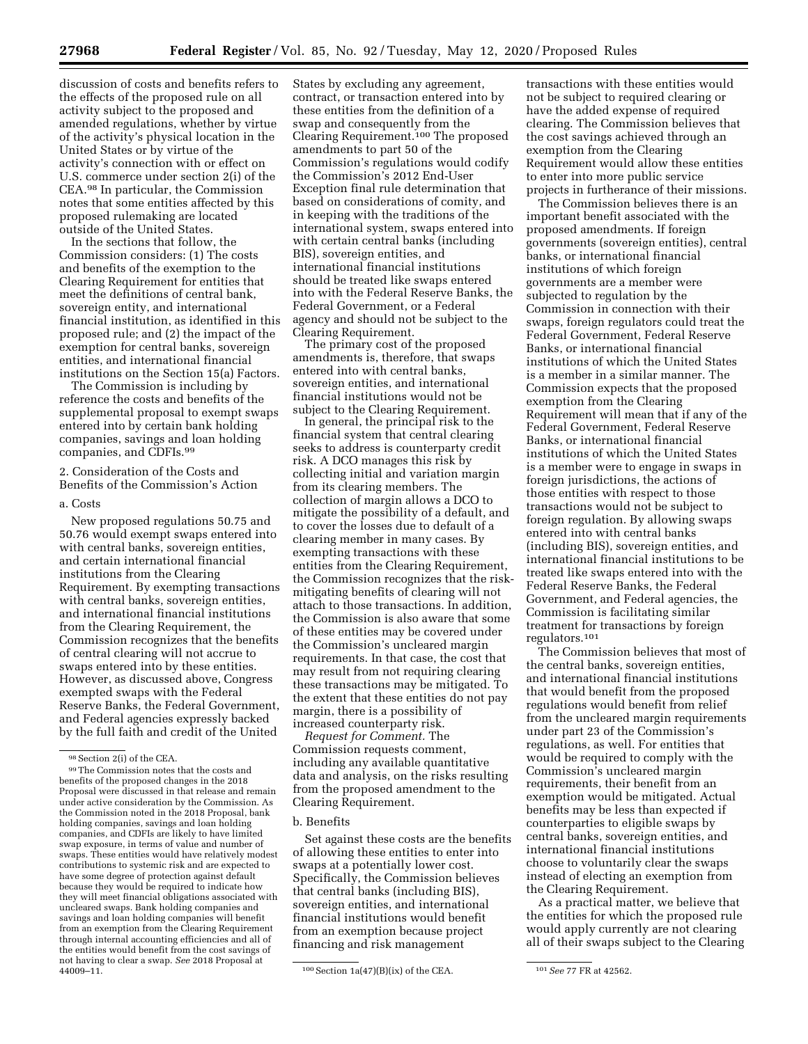discussion of costs and benefits refers to the effects of the proposed rule on all activity subject to the proposed and amended regulations, whether by virtue of the activity's physical location in the United States or by virtue of the activity's connection with or effect on U.S. commerce under section 2(i) of the CEA.98 In particular, the Commission notes that some entities affected by this proposed rulemaking are located outside of the United States.

In the sections that follow, the Commission considers: (1) The costs and benefits of the exemption to the Clearing Requirement for entities that meet the definitions of central bank, sovereign entity, and international financial institution, as identified in this proposed rule; and (2) the impact of the exemption for central banks, sovereign entities, and international financial institutions on the Section 15(a) Factors.

The Commission is including by reference the costs and benefits of the supplemental proposal to exempt swaps entered into by certain bank holding companies, savings and loan holding companies, and CDFIs.99

2. Consideration of the Costs and Benefits of the Commission's Action

#### a. Costs

New proposed regulations 50.75 and 50.76 would exempt swaps entered into with central banks, sovereign entities, and certain international financial institutions from the Clearing Requirement. By exempting transactions with central banks, sovereign entities, and international financial institutions from the Clearing Requirement, the Commission recognizes that the benefits of central clearing will not accrue to swaps entered into by these entities. However, as discussed above, Congress exempted swaps with the Federal Reserve Banks, the Federal Government, and Federal agencies expressly backed by the full faith and credit of the United

States by excluding any agreement, contract, or transaction entered into by these entities from the definition of a swap and consequently from the Clearing Requirement.100 The proposed amendments to part 50 of the Commission's regulations would codify the Commission's 2012 End-User Exception final rule determination that based on considerations of comity, and in keeping with the traditions of the international system, swaps entered into with certain central banks (including BIS), sovereign entities, and international financial institutions should be treated like swaps entered into with the Federal Reserve Banks, the Federal Government, or a Federal agency and should not be subject to the Clearing Requirement.

The primary cost of the proposed amendments is, therefore, that swaps entered into with central banks, sovereign entities, and international financial institutions would not be subject to the Clearing Requirement.

In general, the principal risk to the financial system that central clearing seeks to address is counterparty credit risk. A DCO manages this risk by collecting initial and variation margin from its clearing members. The collection of margin allows a DCO to mitigate the possibility of a default, and to cover the losses due to default of a clearing member in many cases. By exempting transactions with these entities from the Clearing Requirement, the Commission recognizes that the riskmitigating benefits of clearing will not attach to those transactions. In addition, the Commission is also aware that some of these entities may be covered under the Commission's uncleared margin requirements. In that case, the cost that may result from not requiring clearing these transactions may be mitigated. To the extent that these entities do not pay margin, there is a possibility of increased counterparty risk.

*Request for Comment.* The Commission requests comment, including any available quantitative data and analysis, on the risks resulting from the proposed amendment to the Clearing Requirement.

#### b. Benefits

Set against these costs are the benefits of allowing these entities to enter into swaps at a potentially lower cost. Specifically, the Commission believes that central banks (including BIS), sovereign entities, and international financial institutions would benefit from an exemption because project financing and risk management

transactions with these entities would not be subject to required clearing or have the added expense of required clearing. The Commission believes that the cost savings achieved through an exemption from the Clearing Requirement would allow these entities to enter into more public service projects in furtherance of their missions.

The Commission believes there is an important benefit associated with the proposed amendments. If foreign governments (sovereign entities), central banks, or international financial institutions of which foreign governments are a member were subjected to regulation by the Commission in connection with their swaps, foreign regulators could treat the Federal Government, Federal Reserve Banks, or international financial institutions of which the United States is a member in a similar manner. The Commission expects that the proposed exemption from the Clearing Requirement will mean that if any of the Federal Government, Federal Reserve Banks, or international financial institutions of which the United States is a member were to engage in swaps in foreign jurisdictions, the actions of those entities with respect to those transactions would not be subject to foreign regulation. By allowing swaps entered into with central banks (including BIS), sovereign entities, and international financial institutions to be treated like swaps entered into with the Federal Reserve Banks, the Federal Government, and Federal agencies, the Commission is facilitating similar treatment for transactions by foreign regulators.101

The Commission believes that most of the central banks, sovereign entities, and international financial institutions that would benefit from the proposed regulations would benefit from relief from the uncleared margin requirements under part 23 of the Commission's regulations, as well. For entities that would be required to comply with the Commission's uncleared margin requirements, their benefit from an exemption would be mitigated. Actual benefits may be less than expected if counterparties to eligible swaps by central banks, sovereign entities, and international financial institutions choose to voluntarily clear the swaps instead of electing an exemption from the Clearing Requirement.

As a practical matter, we believe that the entities for which the proposed rule would apply currently are not clearing all of their swaps subject to the Clearing

<sup>98</sup>Section 2(i) of the CEA.

<sup>99</sup>The Commission notes that the costs and benefits of the proposed changes in the 2018 Proposal were discussed in that release and remain under active consideration by the Commission. As the Commission noted in the 2018 Proposal, bank holding companies, savings and loan holding companies, and CDFIs are likely to have limited swap exposure, in terms of value and number of swaps. These entities would have relatively modest contributions to systemic risk and are expected to have some degree of protection against default because they would be required to indicate how they will meet financial obligations associated with uncleared swaps. Bank holding companies and savings and loan holding companies will benefit from an exemption from the Clearing Requirement through internal accounting efficiencies and all of the entities would benefit from the cost savings of not having to clear a swap. *See* 2018 Proposal at

<sup>&</sup>lt;sup>100</sup> Section 1a(47)(B)(ix) of the CEA. <sup>101</sup> See 77 FR at 42562.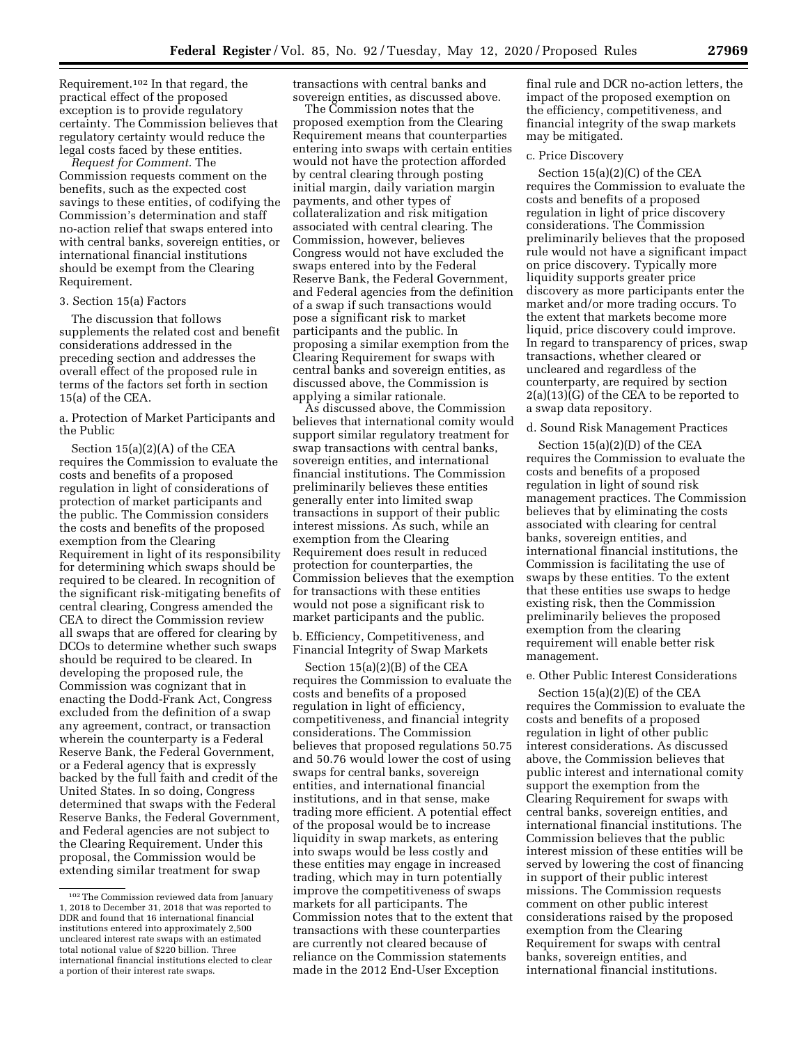Requirement.102 In that regard, the practical effect of the proposed exception is to provide regulatory certainty. The Commission believes that regulatory certainty would reduce the legal costs faced by these entities.

*Request for Comment.* The Commission requests comment on the benefits, such as the expected cost savings to these entities, of codifying the Commission's determination and staff no-action relief that swaps entered into with central banks, sovereign entities, or international financial institutions should be exempt from the Clearing Requirement.

# 3. Section 15(a) Factors

The discussion that follows supplements the related cost and benefit considerations addressed in the preceding section and addresses the overall effect of the proposed rule in terms of the factors set forth in section 15(a) of the CEA.

a. Protection of Market Participants and the Public

Section 15(a)(2)(A) of the CEA requires the Commission to evaluate the costs and benefits of a proposed regulation in light of considerations of protection of market participants and the public. The Commission considers the costs and benefits of the proposed exemption from the Clearing Requirement in light of its responsibility for determining which swaps should be required to be cleared. In recognition of the significant risk-mitigating benefits of central clearing, Congress amended the CEA to direct the Commission review all swaps that are offered for clearing by DCOs to determine whether such swaps should be required to be cleared. In developing the proposed rule, the Commission was cognizant that in enacting the Dodd-Frank Act, Congress excluded from the definition of a swap any agreement, contract, or transaction wherein the counterparty is a Federal Reserve Bank, the Federal Government, or a Federal agency that is expressly backed by the full faith and credit of the United States. In so doing, Congress determined that swaps with the Federal Reserve Banks, the Federal Government, and Federal agencies are not subject to the Clearing Requirement. Under this proposal, the Commission would be extending similar treatment for swap

transactions with central banks and sovereign entities, as discussed above.

The Commission notes that the proposed exemption from the Clearing Requirement means that counterparties entering into swaps with certain entities would not have the protection afforded by central clearing through posting initial margin, daily variation margin payments, and other types of collateralization and risk mitigation associated with central clearing. The Commission, however, believes Congress would not have excluded the swaps entered into by the Federal Reserve Bank, the Federal Government, and Federal agencies from the definition of a swap if such transactions would pose a significant risk to market participants and the public. In proposing a similar exemption from the Clearing Requirement for swaps with central banks and sovereign entities, as discussed above, the Commission is applying a similar rationale.

As discussed above, the Commission believes that international comity would support similar regulatory treatment for swap transactions with central banks, sovereign entities, and international financial institutions. The Commission preliminarily believes these entities generally enter into limited swap transactions in support of their public interest missions. As such, while an exemption from the Clearing Requirement does result in reduced protection for counterparties, the Commission believes that the exemption for transactions with these entities would not pose a significant risk to market participants and the public.

b. Efficiency, Competitiveness, and Financial Integrity of Swap Markets

Section 15(a)(2)(B) of the CEA requires the Commission to evaluate the costs and benefits of a proposed regulation in light of efficiency, competitiveness, and financial integrity considerations. The Commission believes that proposed regulations 50.75 and 50.76 would lower the cost of using swaps for central banks, sovereign entities, and international financial institutions, and in that sense, make trading more efficient. A potential effect of the proposal would be to increase liquidity in swap markets, as entering into swaps would be less costly and these entities may engage in increased trading, which may in turn potentially improve the competitiveness of swaps markets for all participants. The Commission notes that to the extent that transactions with these counterparties are currently not cleared because of reliance on the Commission statements made in the 2012 End-User Exception

final rule and DCR no-action letters, the impact of the proposed exemption on the efficiency, competitiveness, and financial integrity of the swap markets may be mitigated.

#### c. Price Discovery

Section 15(a)(2)(C) of the CEA requires the Commission to evaluate the costs and benefits of a proposed regulation in light of price discovery considerations. The Commission preliminarily believes that the proposed rule would not have a significant impact on price discovery. Typically more liquidity supports greater price discovery as more participants enter the market and/or more trading occurs. To the extent that markets become more liquid, price discovery could improve. In regard to transparency of prices, swap transactions, whether cleared or uncleared and regardless of the counterparty, are required by section 2(a)(13)(G) of the CEA to be reported to a swap data repository.

### d. Sound Risk Management Practices

Section 15(a)(2)(D) of the CEA requires the Commission to evaluate the costs and benefits of a proposed regulation in light of sound risk management practices. The Commission believes that by eliminating the costs associated with clearing for central banks, sovereign entities, and international financial institutions, the Commission is facilitating the use of swaps by these entities. To the extent that these entities use swaps to hedge existing risk, then the Commission preliminarily believes the proposed exemption from the clearing requirement will enable better risk management.

# e. Other Public Interest Considerations

Section 15(a)(2)(E) of the CEA requires the Commission to evaluate the costs and benefits of a proposed regulation in light of other public interest considerations. As discussed above, the Commission believes that public interest and international comity support the exemption from the Clearing Requirement for swaps with central banks, sovereign entities, and international financial institutions. The Commission believes that the public interest mission of these entities will be served by lowering the cost of financing in support of their public interest missions. The Commission requests comment on other public interest considerations raised by the proposed exemption from the Clearing Requirement for swaps with central banks, sovereign entities, and international financial institutions.

<sup>102</sup>The Commission reviewed data from January 1, 2018 to December 31, 2018 that was reported to DDR and found that 16 international financial institutions entered into approximately 2,500 uncleared interest rate swaps with an estimated total notional value of \$220 billion. Three international financial institutions elected to clear a portion of their interest rate swaps.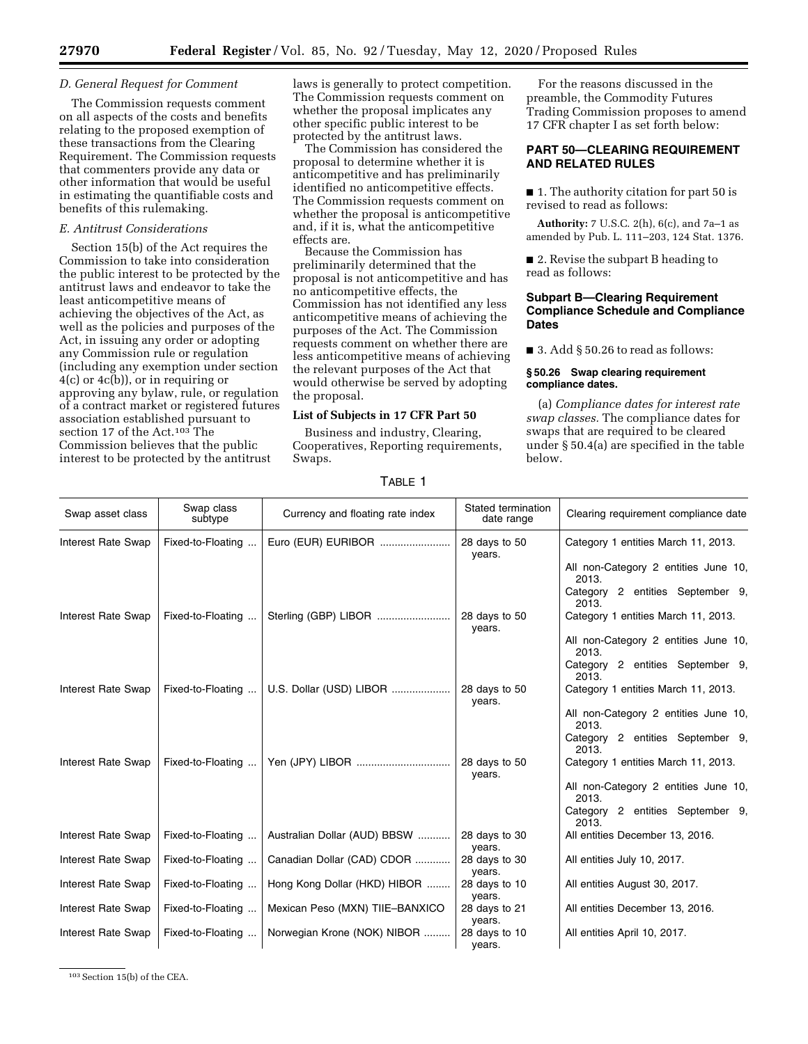#### *D. General Request for Comment*

The Commission requests comment on all aspects of the costs and benefits relating to the proposed exemption of these transactions from the Clearing Requirement. The Commission requests that commenters provide any data or other information that would be useful in estimating the quantifiable costs and benefits of this rulemaking.

# *E. Antitrust Considerations*

Section 15(b) of the Act requires the Commission to take into consideration the public interest to be protected by the antitrust laws and endeavor to take the least anticompetitive means of achieving the objectives of the Act, as well as the policies and purposes of the Act, in issuing any order or adopting any Commission rule or regulation (including any exemption under section 4(c) or 4c(b)), or in requiring or approving any bylaw, rule, or regulation of a contract market or registered futures association established pursuant to section 17 of the Act.103 The Commission believes that the public interest to be protected by the antitrust

laws is generally to protect competition. The Commission requests comment on whether the proposal implicates any other specific public interest to be protected by the antitrust laws.

The Commission has considered the proposal to determine whether it is anticompetitive and has preliminarily identified no anticompetitive effects. The Commission requests comment on whether the proposal is anticompetitive and, if it is, what the anticompetitive effects are.

Because the Commission has preliminarily determined that the proposal is not anticompetitive and has no anticompetitive effects, the Commission has not identified any less anticompetitive means of achieving the purposes of the Act. The Commission requests comment on whether there are less anticompetitive means of achieving the relevant purposes of the Act that would otherwise be served by adopting the proposal.

# **List of Subjects in 17 CFR Part 50**

Business and industry, Clearing, Cooperatives, Reporting requirements, Swaps.

For the reasons discussed in the preamble, the Commodity Futures Trading Commission proposes to amend 17 CFR chapter I as set forth below:

# **PART 50—CLEARING REQUIREMENT AND RELATED RULES**

■ 1. The authority citation for part 50 is revised to read as follows:

**Authority:** 7 U.S.C. 2(h), 6(c), and 7a–1 as amended by Pub. L. 111–203, 124 Stat. 1376.

■ 2. Revise the subpart B heading to read as follows:

# **Subpart B—Clearing Requirement Compliance Schedule and Compliance Dates**

 $\blacksquare$  3. Add § 50.26 to read as follows:

### **§ 50.26 Swap clearing requirement compliance dates.**

(a) *Compliance dates for interest rate swap classes.* The compliance dates for swaps that are required to be cleared under § 50.4(a) are specified in the table below.

| Swap asset class          | Swap class<br>subtype | Currency and floating rate index | Stated termination<br>date range | Clearing requirement compliance date          |
|---------------------------|-----------------------|----------------------------------|----------------------------------|-----------------------------------------------|
| <b>Interest Rate Swap</b> | Fixed-to-Floating     | Euro (EUR) EURIBOR               | 28 days to 50<br>years.          | Category 1 entities March 11, 2013.           |
|                           |                       |                                  |                                  | All non-Category 2 entities June 10,<br>2013. |
|                           |                       |                                  |                                  | Category 2 entities September 9,<br>2013.     |
| Interest Rate Swap        | Fixed-to-Floating     | Sterling (GBP) LIBOR             | 28 days to 50<br>years.          | Category 1 entities March 11, 2013.           |
|                           |                       |                                  |                                  | All non-Category 2 entities June 10,<br>2013. |
|                           |                       |                                  |                                  | Category 2 entities September 9,<br>2013.     |
| Interest Rate Swap        | Fixed-to-Floating     | U.S. Dollar (USD) LIBOR          | 28 days to 50<br>years.          | Category 1 entities March 11, 2013.           |
|                           |                       |                                  |                                  | All non-Category 2 entities June 10,<br>2013. |
|                           |                       |                                  |                                  | Category 2 entities September 9,<br>2013.     |
| Interest Rate Swap        | Fixed-to-Floating     |                                  | 28 days to 50<br>years.          | Category 1 entities March 11, 2013.           |
|                           |                       |                                  |                                  | All non-Category 2 entities June 10,<br>2013. |
|                           |                       |                                  |                                  | Category 2 entities September 9,<br>2013.     |
| Interest Rate Swap        | Fixed-to-Floating     | Australian Dollar (AUD) BBSW     | 28 days to 30<br>years.          | All entities December 13, 2016.               |
| Interest Rate Swap        | Fixed-to-Floating     | Canadian Dollar (CAD) CDOR       | 28 days to 30<br>years.          | All entities July 10, 2017.                   |
| Interest Rate Swap        | Fixed-to-Floating     | Hong Kong Dollar (HKD) HIBOR     | 28 days to 10<br>years.          | All entities August 30, 2017.                 |
| Interest Rate Swap        | Fixed-to-Floating     | Mexican Peso (MXN) TIIE-BANXICO  | 28 days to 21<br>years.          | All entities December 13, 2016.               |
| Interest Rate Swap        | Fixed-to-Floating     | Norwegian Krone (NOK) NIBOR      | 28 days to 10<br>years.          | All entities April 10, 2017.                  |

TABLE 1

103Section 15(b) of the CEA.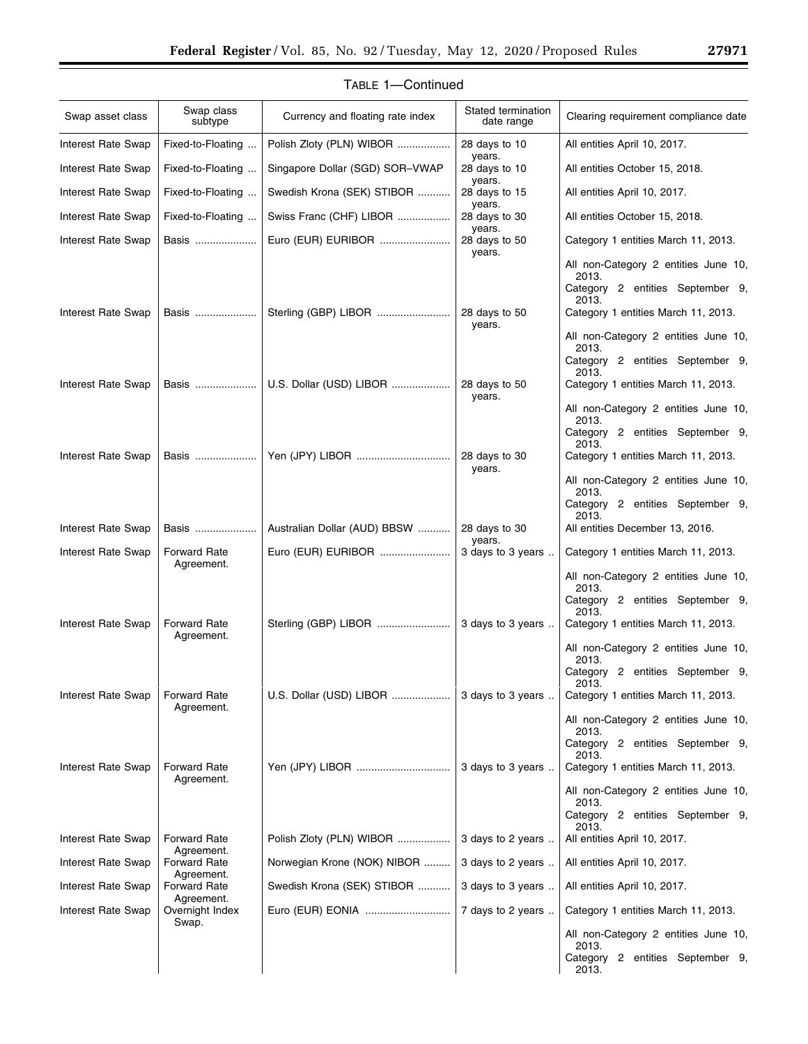| Swap asset class          | Swap class<br>subtype             | Currency and floating rate index | Stated termination<br>date range | Clearing requirement compliance date                                              |
|---------------------------|-----------------------------------|----------------------------------|----------------------------------|-----------------------------------------------------------------------------------|
| Interest Rate Swap        | Fixed-to-Floating                 | Polish Zloty (PLN) WIBOR         | 28 days to 10<br>years.          | All entities April 10, 2017.                                                      |
| Interest Rate Swap        | Fixed-to-Floating                 | Singapore Dollar (SGD) SOR-VWAP  | 28 days to 10<br>years.          | All entities October 15, 2018.                                                    |
| <b>Interest Rate Swap</b> | Fixed-to-Floating                 | Swedish Krona (SEK) STIBOR       | 28 days to 15<br>years.          | All entities April 10, 2017.                                                      |
| Interest Rate Swap        | Fixed-to-Floating                 | Swiss Franc (CHF) LIBOR          | 28 days to 30<br>years.          | All entities October 15, 2018.                                                    |
| Interest Rate Swap        | Basis                             | Euro (EUR) EURIBOR               | 28 days to 50<br>years.          | Category 1 entities March 11, 2013.                                               |
|                           |                                   |                                  |                                  | All non-Category 2 entities June 10,<br>2013.<br>Category 2 entities September 9, |
| <b>Interest Rate Swap</b> | Basis                             |                                  | 28 days to 50                    | 2013.<br>Category 1 entities March 11, 2013.                                      |
|                           |                                   |                                  | years.                           |                                                                                   |
|                           |                                   |                                  |                                  | All non-Category 2 entities June 10,<br>2013.                                     |
|                           |                                   |                                  |                                  | Category 2 entities September 9,<br>2013.                                         |
| <b>Interest Rate Swap</b> | Basis                             | U.S. Dollar (USD) LIBOR          | 28 days to 50<br>years.          | Category 1 entities March 11, 2013.                                               |
|                           |                                   |                                  |                                  | All non-Category 2 entities June 10,<br>2013.                                     |
|                           |                                   |                                  |                                  | Category 2 entities September 9,<br>2013.                                         |
| Interest Rate Swap        | Basis                             |                                  | 28 days to 30<br>years.          | Category 1 entities March 11, 2013.                                               |
|                           |                                   |                                  |                                  | All non-Category 2 entities June 10,<br>2013.                                     |
|                           |                                   |                                  |                                  | Category 2 entities September 9,<br>2013.                                         |
| Interest Rate Swap        | Basis                             | Australian Dollar (AUD) BBSW     | 28 days to 30<br>years.          | All entities December 13, 2016.                                                   |
| Interest Rate Swap        | <b>Forward Rate</b><br>Agreement. | Euro (EUR) EURIBOR               | 3 days to 3 years                | Category 1 entities March 11, 2013.                                               |
|                           |                                   |                                  |                                  | All non-Category 2 entities June 10,<br>2013.                                     |
|                           |                                   |                                  |                                  | Category 2 entities September 9,<br>2013.                                         |
| Interest Rate Swap        | <b>Forward Rate</b><br>Agreement. |                                  | 3 days to 3 years                | Category 1 entities March 11, 2013.                                               |
|                           |                                   |                                  |                                  | All non-Category 2 entities June 10,<br>2013.                                     |
|                           |                                   |                                  |                                  | Category 2 entities September 9,<br>2013.                                         |
| Interest Rate Swap        | <b>Forward Rate</b><br>Agreement. | U.S. Dollar (USD) LIBOR          | 3 days to 3 years                | Category 1 entities March 11, 2013.                                               |
|                           |                                   |                                  |                                  | All non-Category 2 entities June 10,<br>2013.                                     |
|                           |                                   |                                  |                                  | Category 2 entities September 9,<br>2013.                                         |
| Interest Rate Swap        | <b>Forward Rate</b><br>Agreement. |                                  | 3 days to 3 years                | Category 1 entities March 11, 2013.                                               |
|                           |                                   |                                  |                                  | All non-Category 2 entities June 10,<br>2013.                                     |
|                           |                                   |                                  |                                  | Category 2 entities September 9,<br>2013.                                         |
| Interest Rate Swap        | <b>Forward Rate</b><br>Agreement. | Polish Zloty (PLN) WIBOR         | 3 days to 2 years                | All entities April 10, 2017.                                                      |
| Interest Rate Swap        | <b>Forward Rate</b><br>Agreement. | Norwegian Krone (NOK) NIBOR      | 3 days to 2 years                | All entities April 10, 2017.                                                      |
| Interest Rate Swap        | Forward Rate<br>Agreement.        | Swedish Krona (SEK) STIBOR       | 3 days to 3 years                | All entities April 10, 2017.                                                      |
| Interest Rate Swap        | Overnight Index<br>Swap.          | Euro (EUR) EONIA                 | 7 days to 2 years                | Category 1 entities March 11, 2013.                                               |
|                           |                                   |                                  |                                  | All non-Category 2 entities June 10,<br>2013.                                     |
|                           |                                   |                                  |                                  | Category 2 entities September 9,<br>2013.                                         |

# TABLE 1—Continued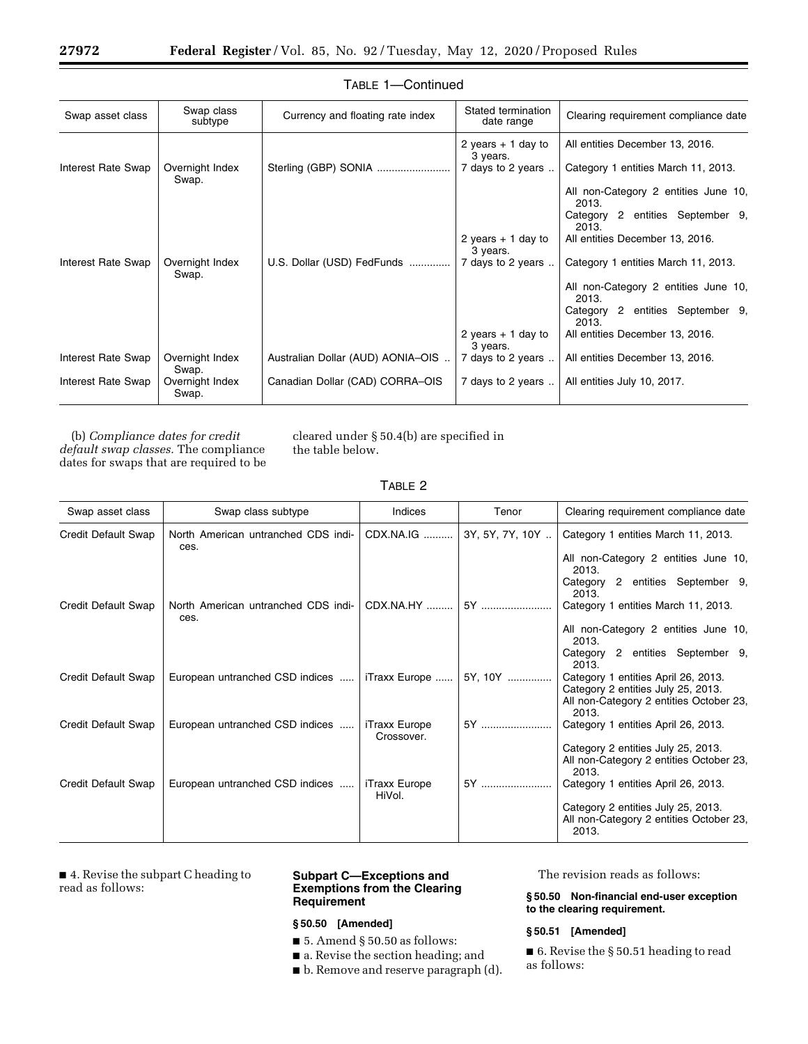| Swap asset class   | Swap class<br>subtype    | Currency and floating rate index  | Stated termination<br>date range | Clearing requirement compliance date          |
|--------------------|--------------------------|-----------------------------------|----------------------------------|-----------------------------------------------|
|                    |                          |                                   | 2 years $+1$ day to<br>3 years.  | All entities December 13, 2016.               |
| Interest Rate Swap | Overnight Index<br>Swap. | Sterling (GBP) SONIA              | 7 days to 2 years                | Category 1 entities March 11, 2013.           |
|                    |                          |                                   |                                  | All non-Category 2 entities June 10,<br>2013. |
|                    |                          |                                   |                                  | Category 2 entities September 9,<br>2013.     |
|                    |                          |                                   | 2 years $+1$ day to<br>3 years.  | All entities December 13, 2016.               |
| Interest Rate Swap | Overnight Index<br>Swap. | U.S. Dollar (USD) FedFunds        | 7 days to 2 years                | Category 1 entities March 11, 2013.           |
|                    |                          |                                   |                                  | All non-Category 2 entities June 10,<br>2013. |
|                    |                          |                                   |                                  | Category 2 entities September 9,<br>2013.     |
|                    |                          |                                   | 2 years $+1$ day to<br>3 years.  | All entities December 13, 2016.               |
| Interest Rate Swap | Overnight Index<br>Swap. | Australian Dollar (AUD) AONIA-OIS | 7 days to 2 years                | All entities December 13, 2016.               |
| Interest Rate Swap | Overnight Index<br>Swap. | Canadian Dollar (CAD) CORRA-OIS   | 7 days to 2 years                | All entities July 10, 2017.                   |

# TABLE 1—Continued

(b) *Compliance dates for credit default swap classes.* The compliance dates for swaps that are required to be cleared under § 50.4(b) are specified in the table below.

|--|--|

| Swap asset class    | Swap class subtype                          | Indices                     | Tenor           | Clearing requirement compliance date                                                                                          |
|---------------------|---------------------------------------------|-----------------------------|-----------------|-------------------------------------------------------------------------------------------------------------------------------|
| Credit Default Swap | North American untranched CDS indi-<br>ces. | CDX.NA.IG                   | 3Y, 5Y, 7Y, 10Y | Category 1 entities March 11, 2013.                                                                                           |
|                     |                                             |                             |                 | All non-Category 2 entities June 10,<br>2013.                                                                                 |
|                     |                                             |                             |                 | Category 2 entities September 9,<br>2013.                                                                                     |
| Credit Default Swap | North American untranched CDS indi-<br>ces. | CDX.NA.HY                   | 5Y              | Category 1 entities March 11, 2013.                                                                                           |
|                     |                                             |                             |                 | All non-Category 2 entities June 10,<br>2013.                                                                                 |
|                     |                                             |                             |                 | Category 2 entities September 9,<br>2013.                                                                                     |
| Credit Default Swap | European untranched CSD indices             | iTraxx Europe               | 5Y, 10Y         | Category 1 entities April 26, 2013.<br>Category 2 entities July 25, 2013.<br>All non-Category 2 entities October 23,<br>2013. |
| Credit Default Swap | European untranched CSD indices             | iTraxx Europe<br>Crossover. | 5Y              | Category 1 entities April 26, 2013.                                                                                           |
|                     |                                             |                             |                 | Category 2 entities July 25, 2013.<br>All non-Category 2 entities October 23,<br>2013.                                        |
| Credit Default Swap | European untranched CSD indices             | iTraxx Europe<br>HiVol.     | 5Y              | Category 1 entities April 26, 2013.                                                                                           |
|                     |                                             |                             |                 | Category 2 entities July 25, 2013.<br>All non-Category 2 entities October 23,<br>2013.                                        |

■ 4. Revise the subpart C heading to read as follows:

# **Subpart C—Exceptions and Exemptions from the Clearing Requirement**

# **§ 50.50 [Amended]**

- $\blacksquare$  5. Amend § 50.50 as follows:
- a. Revise the section heading; and
- b. Remove and reserve paragraph (d).

The revision reads as follows:

#### **§ 50.50 Non-financial end-user exception to the clearing requirement.**

## **§ 50.51 [Amended]**

■ 6. Revise the § 50.51 heading to read as follows: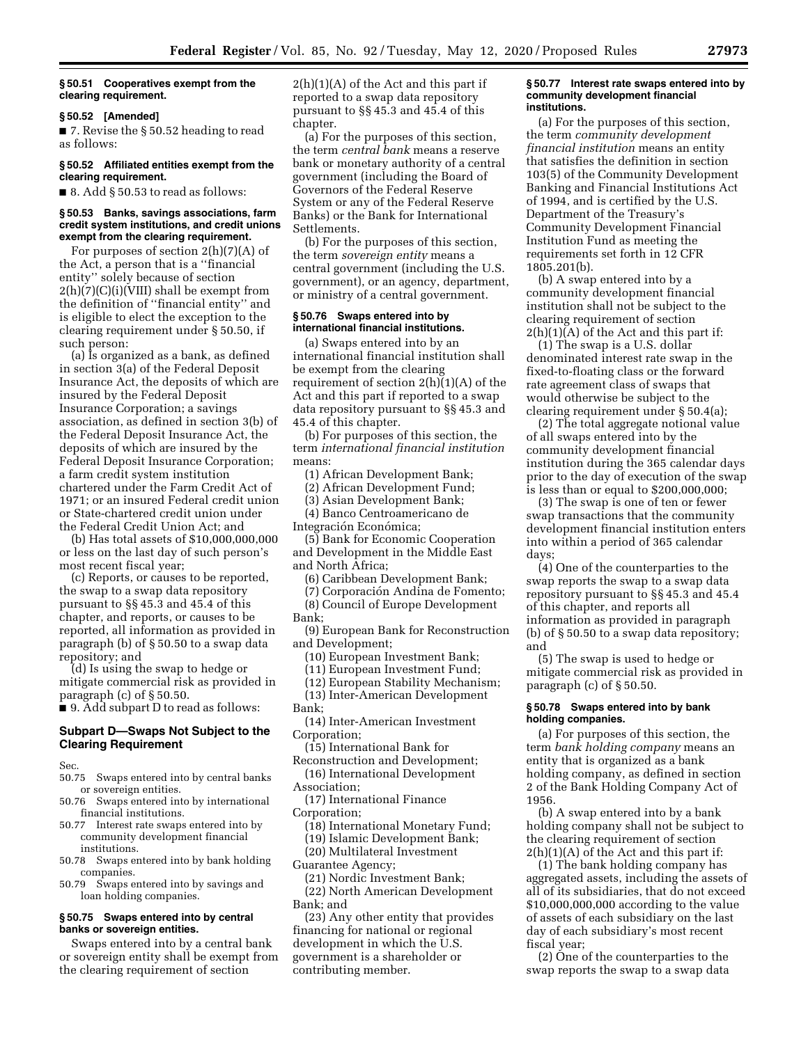#### **§ 50.51 Cooperatives exempt from the clearing requirement.**

#### **§ 50.52 [Amended]**

■ 7. Revise the § 50.52 heading to read as follows:

#### **§ 50.52 Affiliated entities exempt from the clearing requirement.**

 $\blacksquare$  8. Add § 50.53 to read as follows:

#### **§ 50.53 Banks, savings associations, farm credit system institutions, and credit unions exempt from the clearing requirement.**

For purposes of section 2(h)(7)(A) of the Act, a person that is a ''financial entity'' solely because of section  $2(h)(7)(C)(i)(VIII)$  shall be exempt from the definition of ''financial entity'' and is eligible to elect the exception to the clearing requirement under § 50.50, if such person:

(a) Is organized as a bank, as defined in section 3(a) of the Federal Deposit Insurance Act, the deposits of which are insured by the Federal Deposit Insurance Corporation; a savings association, as defined in section 3(b) of the Federal Deposit Insurance Act, the deposits of which are insured by the Federal Deposit Insurance Corporation; a farm credit system institution chartered under the Farm Credit Act of 1971; or an insured Federal credit union or State-chartered credit union under the Federal Credit Union Act; and

(b) Has total assets of \$10,000,000,000 or less on the last day of such person's most recent fiscal year;

(c) Reports, or causes to be reported, the swap to a swap data repository pursuant to §§ 45.3 and 45.4 of this chapter, and reports, or causes to be reported, all information as provided in paragraph (b) of § 50.50 to a swap data repository; and

(d) Is using the swap to hedge or mitigate commercial risk as provided in paragraph (c) of § 50.50.

■ 9. Add subpart D to read as follows:

# **Subpart D—Swaps Not Subject to the Clearing Requirement**

Sec.

- 50.75 Swaps entered into by central banks or sovereign entities.
- 50.76 Swaps entered into by international financial institutions.
- 50.77 Interest rate swaps entered into by community development financial institutions.
- 50.78 Swaps entered into by bank holding companies.
- 50.79 Swaps entered into by savings and loan holding companies.

#### **§ 50.75 Swaps entered into by central banks or sovereign entities.**

Swaps entered into by a central bank or sovereign entity shall be exempt from the clearing requirement of section

 $2(h)(1)(A)$  of the Act and this part if reported to a swap data repository pursuant to §§ 45.3 and 45.4 of this chapter.

(a) For the purposes of this section, the term *central bank* means a reserve bank or monetary authority of a central government (including the Board of Governors of the Federal Reserve System or any of the Federal Reserve Banks) or the Bank for International Settlements.

(b) For the purposes of this section, the term *sovereign entity* means a central government (including the U.S. government), or an agency, department, or ministry of a central government.

#### **§ 50.76 Swaps entered into by international financial institutions.**

(a) Swaps entered into by an international financial institution shall be exempt from the clearing requirement of section  $2(h)(1)(A)$  of the Act and this part if reported to a swap data repository pursuant to §§ 45.3 and 45.4 of this chapter.

(b) For purposes of this section, the term *international financial institution*  means:

(1) African Development Bank;

(2) African Development Fund;

- (3) Asian Development Bank;
- (4) Banco Centroamericano de

Integración Económica;

- (5) Bank for Economic Cooperation and Development in the Middle East and North Africa;
	- (6) Caribbean Development Bank;
	- (7) Corporación Andina de Fomento;
	- (8) Council of Europe Development
- Bank;

(9) European Bank for Reconstruction and Development;

- (10) European Investment Bank;
- (11) European Investment Fund;
- (12) European Stability Mechanism;

(13) Inter-American Development

- Bank;
- (14) Inter-American Investment Corporation;
- (15) International Bank for

Reconstruction and Development; (16) International Development

Association; (17) International Finance

- Corporation;
- (18) International Monetary Fund;
- (19) Islamic Development Bank;
- (20) Multilateral Investment
- Guarantee Agency;

(21) Nordic Investment Bank;

(22) North American Development Bank; and

(23) Any other entity that provides financing for national or regional development in which the U.S. government is a shareholder or contributing member.

#### **§ 50.77 Interest rate swaps entered into by community development financial institutions.**

(a) For the purposes of this section, the term *community development financial institution* means an entity that satisfies the definition in section 103(5) of the Community Development Banking and Financial Institutions Act of 1994, and is certified by the U.S. Department of the Treasury's Community Development Financial Institution Fund as meeting the requirements set forth in 12 CFR 1805.201(b).

(b) A swap entered into by a community development financial institution shall not be subject to the clearing requirement of section  $2(h)(1)(A)$  of the Act and this part if:

(1) The swap is a U.S. dollar denominated interest rate swap in the fixed-to-floating class or the forward rate agreement class of swaps that would otherwise be subject to the clearing requirement under § 50.4(a);

(2) The total aggregate notional value of all swaps entered into by the community development financial institution during the 365 calendar days prior to the day of execution of the swap is less than or equal to \$200,000,000;

(3) The swap is one of ten or fewer swap transactions that the community development financial institution enters into within a period of 365 calendar days;

(4) One of the counterparties to the swap reports the swap to a swap data repository pursuant to §§ 45.3 and 45.4 of this chapter, and reports all information as provided in paragraph (b) of § 50.50 to a swap data repository; and

(5) The swap is used to hedge or mitigate commercial risk as provided in paragraph (c) of § 50.50.

# **§ 50.78 Swaps entered into by bank holding companies.**

(a) For purposes of this section, the term *bank holding company* means an entity that is organized as a bank holding company, as defined in section 2 of the Bank Holding Company Act of 1956.

(b) A swap entered into by a bank holding company shall not be subject to the clearing requirement of section  $2(h)(1)(A)$  of the Act and this part if:

(1) The bank holding company has aggregated assets, including the assets of all of its subsidiaries, that do not exceed \$10,000,000,000 according to the value of assets of each subsidiary on the last day of each subsidiary's most recent fiscal year;

(2) One of the counterparties to the swap reports the swap to a swap data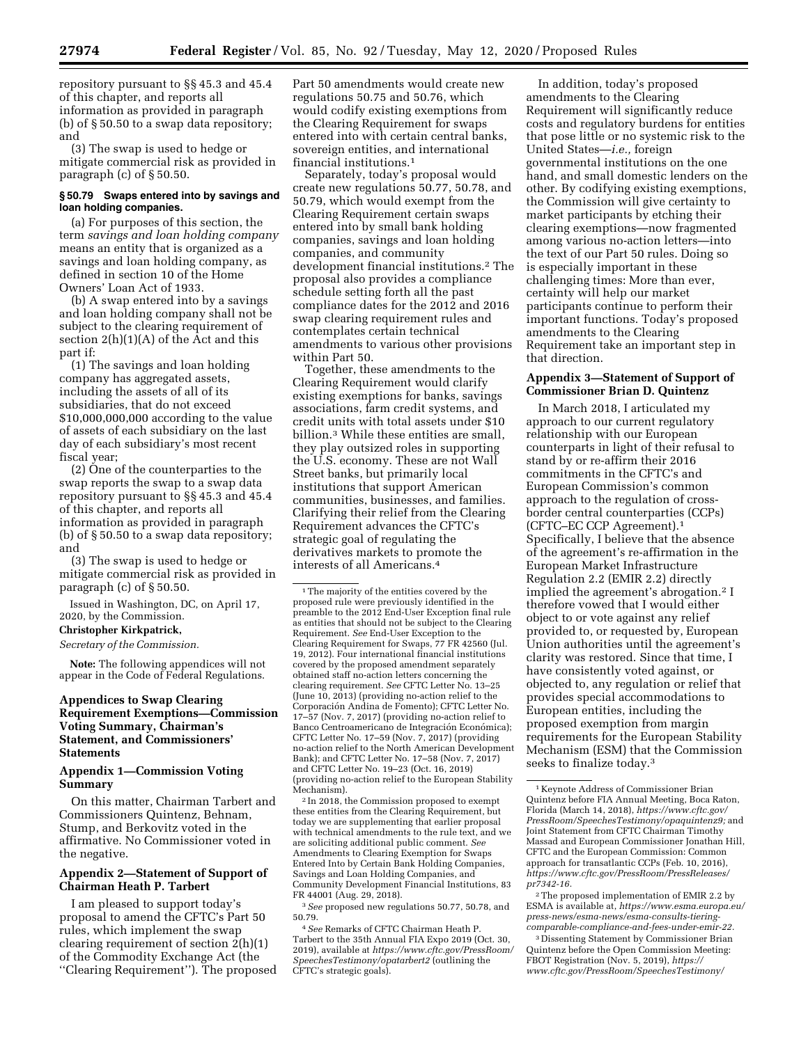repository pursuant to §§ 45.3 and 45.4 of this chapter, and reports all information as provided in paragraph (b) of § 50.50 to a swap data repository; and

(3) The swap is used to hedge or mitigate commercial risk as provided in paragraph (c) of § 50.50.

### **§ 50.79 Swaps entered into by savings and loan holding companies.**

(a) For purposes of this section, the term *savings and loan holding company*  means an entity that is organized as a savings and loan holding company, as defined in section 10 of the Home Owners' Loan Act of 1933.

(b) A swap entered into by a savings and loan holding company shall not be subject to the clearing requirement of section  $2(h)(1)(A)$  of the Act and this part if:

(1) The savings and loan holding company has aggregated assets, including the assets of all of its subsidiaries, that do not exceed \$10,000,000,000 according to the value of assets of each subsidiary on the last day of each subsidiary's most recent fiscal year;

(2) One of the counterparties to the swap reports the swap to a swap data repository pursuant to §§ 45.3 and 45.4 of this chapter, and reports all information as provided in paragraph (b) of § 50.50 to a swap data repository; and

(3) The swap is used to hedge or mitigate commercial risk as provided in paragraph (c) of § 50.50.

Issued in Washington, DC, on April 17, 2020, by the Commission.

#### **Christopher Kirkpatrick,**

# *Secretary of the Commission.*

**Note:** The following appendices will not appear in the Code of Federal Regulations.

# **Appendices to Swap Clearing Requirement Exemptions—Commission Voting Summary, Chairman's Statement, and Commissioners' Statements**

#### **Appendix 1—Commission Voting Summary**

On this matter, Chairman Tarbert and Commissioners Quintenz, Behnam, Stump, and Berkovitz voted in the affirmative. No Commissioner voted in the negative.

# **Appendix 2—Statement of Support of Chairman Heath P. Tarbert**

I am pleased to support today's proposal to amend the CFTC's Part 50 rules, which implement the swap clearing requirement of section 2(h)(1) of the Commodity Exchange Act (the ''Clearing Requirement''). The proposed Part 50 amendments would create new regulations 50.75 and 50.76, which would codify existing exemptions from the Clearing Requirement for swaps entered into with certain central banks, sovereign entities, and international financial institutions.1

Separately, today's proposal would create new regulations 50.77, 50.78, and 50.79, which would exempt from the Clearing Requirement certain swaps entered into by small bank holding companies, savings and loan holding companies, and community development financial institutions.2 The proposal also provides a compliance schedule setting forth all the past compliance dates for the 2012 and 2016 swap clearing requirement rules and contemplates certain technical amendments to various other provisions within Part 50.

Together, these amendments to the Clearing Requirement would clarify existing exemptions for banks, savings associations, farm credit systems, and credit units with total assets under \$10 billion.3 While these entities are small, they play outsized roles in supporting the U.S. economy. These are not Wall Street banks, but primarily local institutions that support American communities, businesses, and families. Clarifying their relief from the Clearing Requirement advances the CFTC's strategic goal of regulating the derivatives markets to promote the interests of all Americans.4

<sup>1</sup>The majority of the entities covered by the proposed rule were previously identified in the preamble to the 2012 End-User Exception final rule as entities that should not be subject to the Clearing Requirement. *See* End-User Exception to the Clearing Requirement for Swaps, 77 FR 42560 (Jul. 19, 2012). Four international financial institutions covered by the proposed amendment separately obtained staff no-action letters concerning the clearing requirement. *See* CFTC Letter No. 13–25 (June 10, 2013) (providing no-action relief to the Corporacio´n Andina de Fomento); CFTC Letter No. 17–57 (Nov. 7, 2017) (providing no-action relief to Banco Centroamericano de Integración Económica); CFTC Letter No. 17–59 (Nov. 7, 2017) (providing no-action relief to the North American Development Bank); and CFTC Letter No. 17–58 (Nov. 7, 2017) and CFTC Letter No. 19–23 (Oct. 16, 2019) (providing no-action relief to the European Stability Mechanism).

2 In 2018, the Commission proposed to exempt these entities from the Clearing Requirement, but today we are supplementing that earlier proposal with technical amendments to the rule text, and we are soliciting additional public comment. *See*  Amendments to Clearing Exemption for Swaps Entered Into by Certain Bank Holding Companies, Savings and Loan Holding Companies, and Community Development Financial Institutions, 83 FR 44001 (Aug. 29, 2018).

3*See* proposed new regulations 50.77, 50.78, and 50.79.

4*See* Remarks of CFTC Chairman Heath P. Tarbert to the 35th Annual FIA Expo 2019 (Oct. 30, 2019), available at *[https://www.cftc.gov/PressRoom/](https://www.cftc.gov/PressRoom/SpeechesTestimony/opatarbert2) [SpeechesTestimony/opatarbert2](https://www.cftc.gov/PressRoom/SpeechesTestimony/opatarbert2)* (outlining the CFTC's strategic goals).

In addition, today's proposed amendments to the Clearing Requirement will significantly reduce costs and regulatory burdens for entities that pose little or no systemic risk to the United States—*i.e.,* foreign governmental institutions on the one hand, and small domestic lenders on the other. By codifying existing exemptions, the Commission will give certainty to market participants by etching their clearing exemptions—now fragmented among various no-action letters—into the text of our Part 50 rules. Doing so is especially important in these challenging times: More than ever, certainty will help our market participants continue to perform their important functions. Today's proposed amendments to the Clearing Requirement take an important step in that direction.

### **Appendix 3—Statement of Support of Commissioner Brian D. Quintenz**

In March 2018, I articulated my approach to our current regulatory relationship with our European counterparts in light of their refusal to stand by or re-affirm their 2016 commitments in the CFTC's and European Commission's common approach to the regulation of crossborder central counterparties (CCPs) (CFTC–EC CCP Agreement).1 Specifically, I believe that the absence of the agreement's re-affirmation in the European Market Infrastructure Regulation 2.2 (EMIR 2.2) directly implied the agreement's abrogation.2 I therefore vowed that I would either object to or vote against any relief provided to, or requested by, European Union authorities until the agreement's clarity was restored. Since that time, I have consistently voted against, or objected to, any regulation or relief that provides special accommodations to European entities, including the proposed exemption from margin requirements for the European Stability Mechanism (ESM) that the Commission seeks to finalize today.3

2The proposed implementation of EMIR 2.2 by ESMA is available at, *[https://www.esma.europa.eu/](https://www.esma.europa.eu/press-news/esma-news/esma-consults-tiering-comparable-compliance-and-fees-under-emir-22)  [press-news/esma-news/esma-consults-tiering](https://www.esma.europa.eu/press-news/esma-news/esma-consults-tiering-comparable-compliance-and-fees-under-emir-22)[comparable-compliance-and-fees-under-emir-22.](https://www.esma.europa.eu/press-news/esma-news/esma-consults-tiering-comparable-compliance-and-fees-under-emir-22)* 

3 Dissenting Statement by Commissioner Brian Quintenz before the Open Commission Meeting: FBOT Registration (Nov. 5, 2019), *[https://](https://www.cftc.gov/PressRoom/SpeechesTestimony/quintenzstatement110519) [www.cftc.gov/PressRoom/SpeechesTestimony/](https://www.cftc.gov/PressRoom/SpeechesTestimony/quintenzstatement110519)* 

<sup>1</sup> Keynote Address of Commissioner Brian Quintenz before FIA Annual Meeting, Boca Raton, Florida (March 14, 2018), *[https://www.cftc.gov/](https://www.cftc.gov/PressRoom/SpeechesTestimony/opaquintenz9)  [PressRoom/SpeechesTestimony/opaquintenz9;](https://www.cftc.gov/PressRoom/SpeechesTestimony/opaquintenz9)* and Joint Statement from CFTC Chairman Timothy Massad and European Commissioner Jonathan Hill, CFTC and the European Commission: Common approach for transatlantic CCPs (Feb. 10, 2016), *[https://www.cftc.gov/PressRoom/PressReleases/](https://www.cftc.gov/PressRoom/PressReleases/pr7342-16) [pr7342-16.](https://www.cftc.gov/PressRoom/PressReleases/pr7342-16)*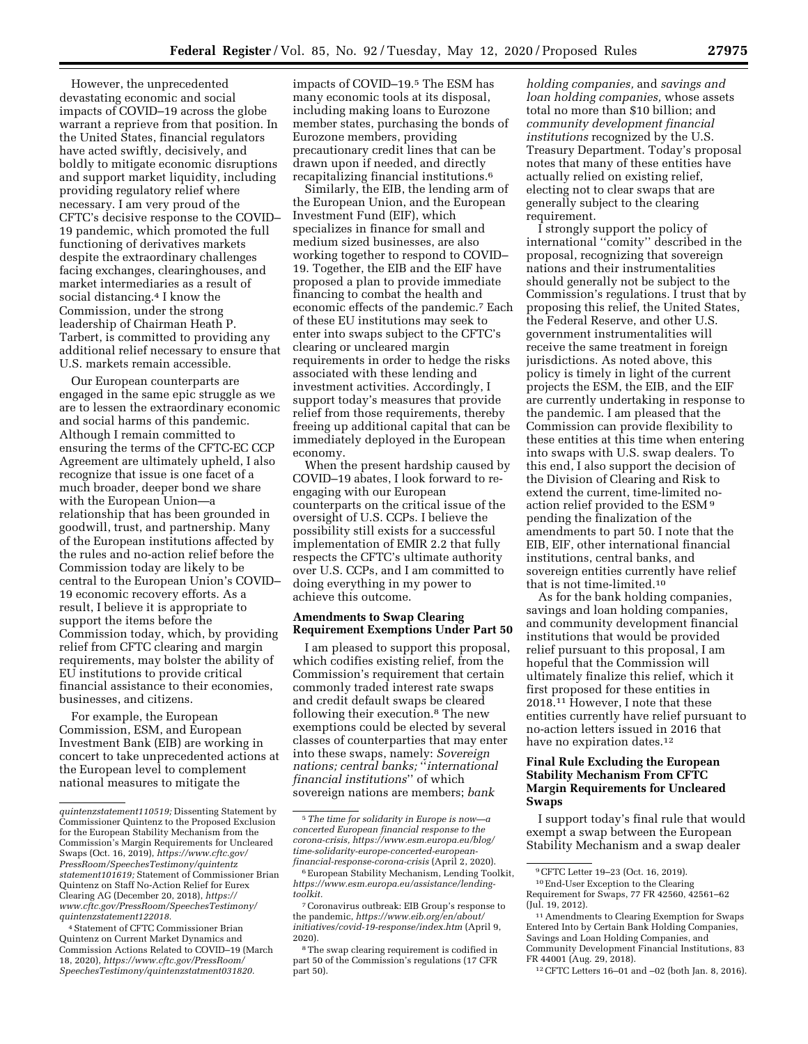However, the unprecedented devastating economic and social impacts of COVID–19 across the globe warrant a reprieve from that position. In the United States, financial regulators have acted swiftly, decisively, and boldly to mitigate economic disruptions and support market liquidity, including providing regulatory relief where necessary. I am very proud of the CFTC's decisive response to the COVID– 19 pandemic, which promoted the full functioning of derivatives markets despite the extraordinary challenges facing exchanges, clearinghouses, and market intermediaries as a result of social distancing.<sup>4</sup> I know the Commission, under the strong leadership of Chairman Heath P. Tarbert, is committed to providing any additional relief necessary to ensure that U.S. markets remain accessible.

Our European counterparts are engaged in the same epic struggle as we are to lessen the extraordinary economic and social harms of this pandemic. Although I remain committed to ensuring the terms of the CFTC-EC CCP Agreement are ultimately upheld, I also recognize that issue is one facet of a much broader, deeper bond we share with the European Union—a relationship that has been grounded in goodwill, trust, and partnership. Many of the European institutions affected by the rules and no-action relief before the Commission today are likely to be central to the European Union's COVID– 19 economic recovery efforts. As a result, I believe it is appropriate to support the items before the Commission today, which, by providing relief from CFTC clearing and margin requirements, may bolster the ability of EU institutions to provide critical financial assistance to their economies, businesses, and citizens.

For example, the European Commission, ESM, and European Investment Bank (EIB) are working in concert to take unprecedented actions at the European level to complement national measures to mitigate the

impacts of COVID–19.5 The ESM has many economic tools at its disposal, including making loans to Eurozone member states, purchasing the bonds of Eurozone members, providing precautionary credit lines that can be drawn upon if needed, and directly recapitalizing financial institutions.6

Similarly, the EIB, the lending arm of the European Union, and the European Investment Fund (EIF), which specializes in finance for small and medium sized businesses, are also working together to respond to COVID– 19. Together, the EIB and the EIF have proposed a plan to provide immediate financing to combat the health and economic effects of the pandemic.7 Each of these EU institutions may seek to enter into swaps subject to the CFTC's clearing or uncleared margin requirements in order to hedge the risks associated with these lending and investment activities. Accordingly, I support today's measures that provide relief from those requirements, thereby freeing up additional capital that can be immediately deployed in the European economy.

When the present hardship caused by COVID–19 abates, I look forward to reengaging with our European counterparts on the critical issue of the oversight of U.S. CCPs. I believe the possibility still exists for a successful implementation of EMIR 2.2 that fully respects the CFTC's ultimate authority over U.S. CCPs, and I am committed to doing everything in my power to achieve this outcome.

## **Amendments to Swap Clearing Requirement Exemptions Under Part 50**

I am pleased to support this proposal, which codifies existing relief, from the Commission's requirement that certain commonly traded interest rate swaps and credit default swaps be cleared following their execution.8 The new exemptions could be elected by several classes of counterparties that may enter into these swaps, namely: *Sovereign nations; central banks;* ''*international financial institutions*'' of which sovereign nations are members; *bank* 

*holding companies,* and *savings and loan holding companies,* whose assets total no more than \$10 billion; and *community development financial institutions* recognized by the U.S. Treasury Department. Today's proposal notes that many of these entities have actually relied on existing relief, electing not to clear swaps that are generally subject to the clearing requirement.

I strongly support the policy of international ''comity'' described in the proposal, recognizing that sovereign nations and their instrumentalities should generally not be subject to the Commission's regulations. I trust that by proposing this relief, the United States, the Federal Reserve, and other U.S. government instrumentalities will receive the same treatment in foreign jurisdictions. As noted above, this policy is timely in light of the current projects the ESM, the EIB, and the EIF are currently undertaking in response to the pandemic. I am pleased that the Commission can provide flexibility to these entities at this time when entering into swaps with U.S. swap dealers. To this end, I also support the decision of the Division of Clearing and Risk to extend the current, time-limited noaction relief provided to the ESM 9 pending the finalization of the amendments to part 50. I note that the EIB, EIF, other international financial institutions, central banks, and sovereign entities currently have relief that is not time-limited.10

As for the bank holding companies, savings and loan holding companies, and community development financial institutions that would be provided relief pursuant to this proposal, I am hopeful that the Commission will ultimately finalize this relief, which it first proposed for these entities in 2018.11 However, I note that these entities currently have relief pursuant to no-action letters issued in 2016 that have no expiration dates.<sup>12</sup>

# **Final Rule Excluding the European Stability Mechanism From CFTC Margin Requirements for Uncleared Swaps**

I support today's final rule that would exempt a swap between the European Stability Mechanism and a swap dealer

*[quintenzstatement110519;](https://www.cftc.gov/PressRoom/SpeechesTestimony/quintenzstatement110519)* Dissenting Statement by Commissioner Quintenz to the Proposed Exclusion for the European Stability Mechanism from the Commission's Margin Requirements for Uncleared Swaps (Oct. 16, 2019), *[https://www.cftc.gov/](https://www.cftc.gov/PressRoom/SpeechesTestimony/quintentzstatement101619)  [PressRoom/SpeechesTestimony/quintentz](https://www.cftc.gov/PressRoom/SpeechesTestimony/quintentzstatement101619) [statement101619;](https://www.cftc.gov/PressRoom/SpeechesTestimony/quintentzstatement101619)* Statement of Commissioner Brian Quintenz on Staff No-Action Relief for Eurex Clearing AG (December 20, 2018), *[https://](https://www.cftc.gov/PressRoom/SpeechesTestimony/quintenzstatement122018) [www.cftc.gov/PressRoom/SpeechesTestimony/](https://www.cftc.gov/PressRoom/SpeechesTestimony/quintenzstatement122018)  [quintenzstatement122018.](https://www.cftc.gov/PressRoom/SpeechesTestimony/quintenzstatement122018)* 

<sup>4</sup>Statement of CFTC Commissioner Brian Quintenz on Current Market Dynamics and Commission Actions Related to COVID–19 (March 18, 2020), *[https://www.cftc.gov/PressRoom/](https://www.cftc.gov/PressRoom/SpeechesTestimony/quintenzstatment031820)  [SpeechesTestimony/quintenzstatment031820.](https://www.cftc.gov/PressRoom/SpeechesTestimony/quintenzstatment031820)* 

<sup>5</sup>*The time for solidarity in Europe is now—a concerted European financial response to the corona-crisis, [https://www.esm.europa.eu/blog/](https://www.esm.europa.eu/blog/time-solidarity-europe-concerted-european-financial-response-corona-crisis)  [time-solidarity-europe-concerted-european](https://www.esm.europa.eu/blog/time-solidarity-europe-concerted-european-financial-response-corona-crisis)[financial-response-corona-crisis](https://www.esm.europa.eu/blog/time-solidarity-europe-concerted-european-financial-response-corona-crisis)* (April 2, 2020).

<sup>6</sup>European Stability Mechanism, Lending Toolkit, *[https://www.esm.europa.eu/assistance/lending](https://www.esm.europa.eu/assistance/lending-toolkit)[toolkit.](https://www.esm.europa.eu/assistance/lending-toolkit)* 

<sup>7</sup>Coronavirus outbreak: EIB Group's response to the pandemic, *[https://www.eib.org/en/about/](https://www.eib.org/en/about/initiatives/covid-19-response/index.htm) [initiatives/covid-19-response/index.htm](https://www.eib.org/en/about/initiatives/covid-19-response/index.htm)* (April 9, 2020).

<sup>8</sup>The swap clearing requirement is codified in part 50 of the Commission's regulations (17 CFR part 50).

<sup>9</sup>CFTC Letter 19–23 (Oct. 16, 2019).

<sup>10</sup>End-User Exception to the Clearing Requirement for Swaps, 77 FR 42560, 42561–62 (Jul. 19, 2012).

<sup>11</sup>Amendments to Clearing Exemption for Swaps Entered Into by Certain Bank Holding Companies, Savings and Loan Holding Companies, and Community Development Financial Institutions, 83 FR 44001 (Aug. 29, 2018).

<sup>12</sup>CFTC Letters 16–01 and –02 (both Jan. 8, 2016).